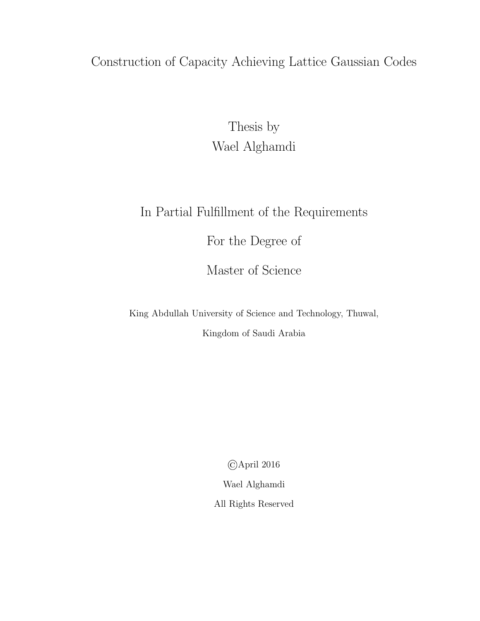### <span id="page-0-0"></span>Construction of Capacity Achieving Lattice Gaussian Codes

Thesis by Wael Alghamdi

### In Partial Fulfillment of the Requirements

For the Degree of

Master of Science

King Abdullah University of Science and Technology, Thuwal,

Kingdom of Saudi Arabia

©April 2016

Wael Alghamdi

All Rights Reserved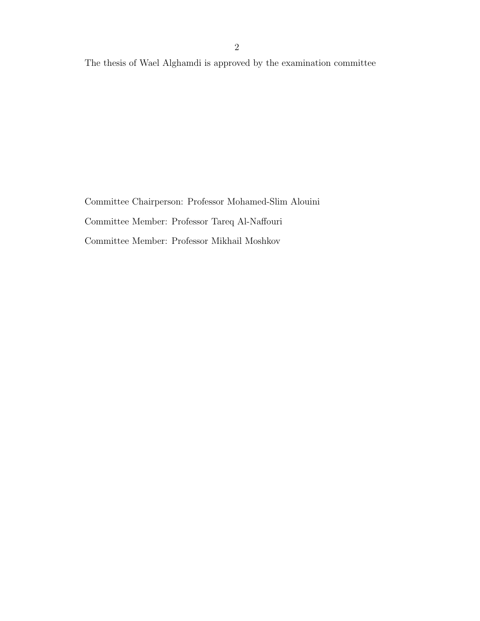The thesis of Wael Alghamdi is approved by the examination committee

Committee Chairperson: Professor Mohamed-Slim Alouini Committee Member: Professor Tareq Al-Naffouri Committee Member: Professor Mikhail Moshkov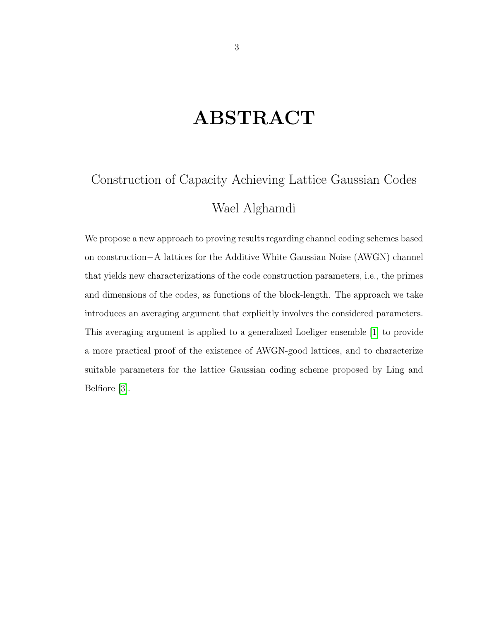## ABSTRACT

## <span id="page-2-0"></span>Construction of Capacity Achieving Lattice Gaussian Codes Wael Alghamdi

We propose a new approach to proving results regarding channel coding schemes based on construction−A lattices for the Additive White Gaussian Noise (AWGN) channel that yields new characterizations of the code construction parameters, i.e., the primes and dimensions of the codes, as functions of the block-length. The approach we take introduces an averaging argument that explicitly involves the considered parameters. This averaging argument is applied to a generalized Loeliger ensemble [\[1\]](#page-55-0) to provide a more practical proof of the existence of AWGN-good lattices, and to characterize suitable parameters for the lattice Gaussian coding scheme proposed by Ling and Belfiore [\[3\]](#page-55-1).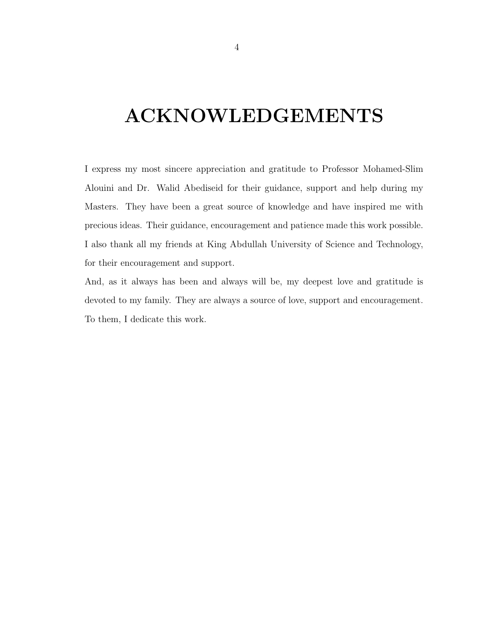## <span id="page-3-0"></span>ACKNOWLEDGEMENTS

I express my most sincere appreciation and gratitude to Professor Mohamed-Slim Alouini and Dr. Walid Abediseid for their guidance, support and help during my Masters. They have been a great source of knowledge and have inspired me with precious ideas. Their guidance, encouragement and patience made this work possible. I also thank all my friends at King Abdullah University of Science and Technology, for their encouragement and support.

And, as it always has been and always will be, my deepest love and gratitude is devoted to my family. They are always a source of love, support and encouragement. To them, I dedicate this work.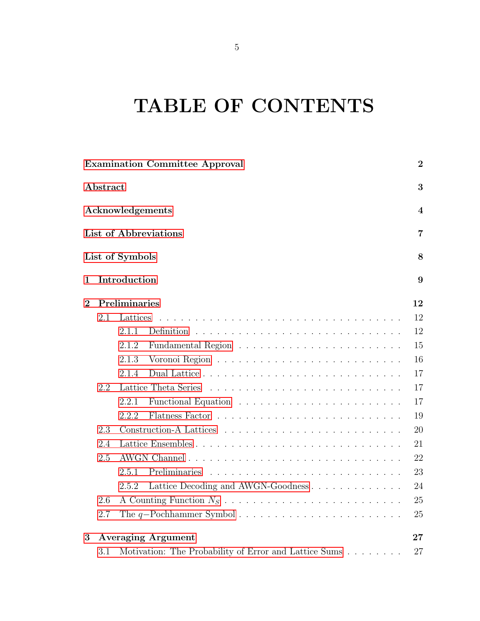# <span id="page-4-0"></span>TABLE OF CONTENTS

|                |          |                  | <b>Examination Committee Approval</b>                 | $\boldsymbol{2}$ |
|----------------|----------|------------------|-------------------------------------------------------|------------------|
|                | Abstract |                  |                                                       | 3                |
|                |          | Acknowledgements |                                                       | 4                |
|                |          |                  | List of Abbreviations                                 | $\overline{7}$   |
|                |          | List of Symbols  |                                                       | 8                |
| 1              |          | Introduction     |                                                       | 9                |
| $\overline{2}$ |          | Preliminaries    |                                                       | 12               |
|                | 2.1      | Lattices         |                                                       | 12               |
|                |          | 2.1.1            | Definition                                            | 12               |
|                |          | 2.1.2            |                                                       | 15               |
|                |          | 2.1.3            |                                                       | 16               |
|                |          | 2.1.4            |                                                       | 17               |
|                | 2.2      |                  |                                                       | 17               |
|                |          | 2.2.1            |                                                       | 17               |
|                |          | 2.2.2            |                                                       | 19               |
|                | 2.3      |                  |                                                       | 20               |
|                | 2.4      |                  |                                                       | 21               |
|                | 2.5      |                  |                                                       | 22               |
|                |          | 2.5.1            |                                                       | 23               |
|                |          | 2.5.2            | Lattice Decoding and AWGN-Goodness                    | 24               |
|                | 2.6      |                  |                                                       | 25               |
|                | 2.7      |                  |                                                       | 25               |
| 3              |          |                  | <b>Averaging Argument</b>                             | 27               |
|                | 3.1      |                  | Motivation: The Probability of Error and Lattice Sums | 27               |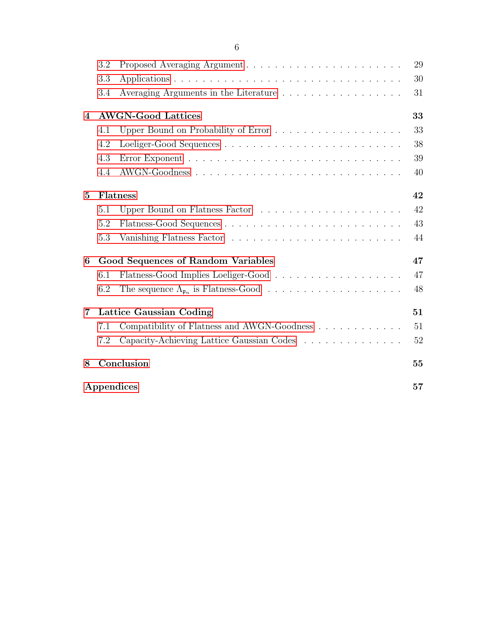|                  | 3.2 |                                             | 29 |
|------------------|-----|---------------------------------------------|----|
|                  | 3.3 |                                             | 30 |
|                  | 3.4 | Averaging Arguments in the Literature       | 31 |
| $\boldsymbol{4}$ |     | <b>AWGN-Good Lattices</b>                   | 33 |
|                  | 4.1 |                                             | 33 |
|                  | 4.2 |                                             | 38 |
|                  | 4.3 |                                             | 39 |
|                  | 4.4 |                                             | 40 |
| $\bf{5}$         |     | Flatness                                    | 42 |
|                  | 5.1 |                                             | 42 |
|                  | 5.2 |                                             | 43 |
|                  | 5.3 |                                             | 44 |
| 6                |     | <b>Good Sequences of Random Variables</b>   | 47 |
|                  | 6.1 |                                             | 47 |
|                  | 6.2 |                                             | 48 |
| $\overline{7}$   |     | Lattice Gaussian Coding                     | 51 |
|                  | 7.1 | Compatibility of Flatness and AWGN-Goodness | 51 |
|                  | 7.2 | Capacity-Achieving Lattice Gaussian Codes   | 52 |
| 8                |     | Conclusion                                  | 55 |
|                  |     | Appendices                                  | 57 |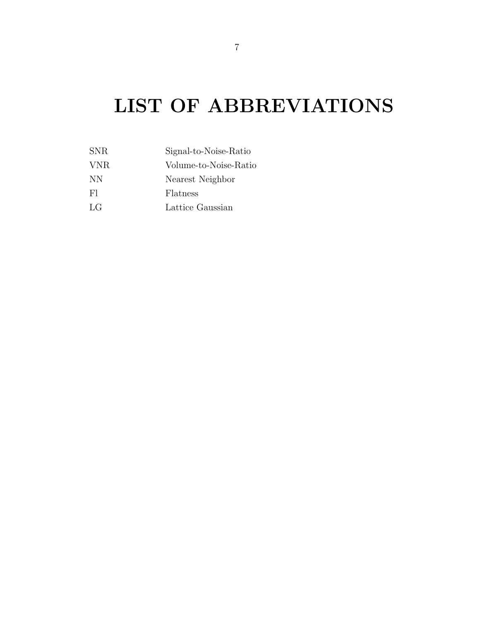# LIST OF ABBREVIATIONS

| Signal-to-Noise-Ratio |
|-----------------------|
| Volume-to-Noise-Ratio |
| Nearest Neighbor      |
| Flatness              |
| Lattice Gaussian      |
|                       |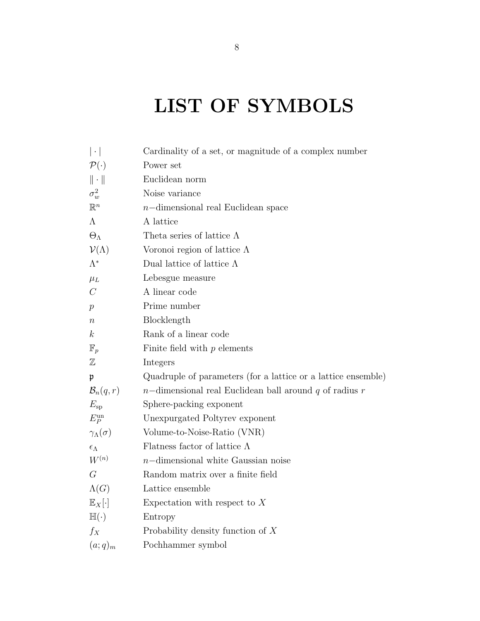# <span id="page-7-0"></span>LIST OF SYMBOLS

| $ \cdot $                  | Cardinality of a set, or magnitude of a complex number        |
|----------------------------|---------------------------------------------------------------|
| $\mathcal{P}(\cdot)$       | Power set                                                     |
| $\ \cdot\ $                | Euclidean norm                                                |
| $\sigma_w^2$               | Noise variance                                                |
| $\mathbb{R}^n$             | $n$ -dimensional real Euclidean space                         |
| $\Lambda$                  | A lattice                                                     |
| $\Theta_{\Lambda}$         | Theta series of lattice $\Lambda$                             |
| $\mathcal{V}(\Lambda)$     | Voronoi region of lattice $\Lambda$                           |
| $\Lambda^*$                | Dual lattice of lattice $\Lambda$                             |
| $\mu_L$                    | Lebesgue measure                                              |
| $\mathcal{C}$              | A linear code                                                 |
| $\,p\,$                    | Prime number                                                  |
| $\, n$                     | Blocklength                                                   |
| $\boldsymbol{k}$           | Rank of a linear code                                         |
| $\mathbb{F}_p$             | Finite field with $p$ elements                                |
| $\mathbb Z$                | Integers                                                      |
| $\mathfrak{p}$             | Quadruple of parameters (for a lattice or a lattice ensemble) |
| $\mathcal{B}_n(q,r)$       | $n$ -dimensional real Euclidean ball around q of radius r     |
| $E_{\rm sp}$               | Sphere-packing exponent                                       |
| $E_P^{\rm un}$             | Unexpurgated Poltyrev exponent                                |
| $\gamma_{\Lambda}(\sigma)$ | Volume-to-Noise-Ratio (VNR)                                   |
| $\epsilon_\Lambda$         | Flatness factor of lattice $\Lambda$                          |
| $W^{(n)}$                  | $n$ -dimensional white Gaussian noise                         |
| $\mathcal G$               | Random matrix over a finite field                             |
| $\Lambda(G)$               | Lattice ensemble                                              |
| $\mathbb{E}_X[\cdot]$      | Expectation with respect to $X$                               |
| $\mathbb{H}(\cdot)$        | Entropy                                                       |
| $f_X$                      | Probability density function of $X$                           |
| $(a;q)_m$                  | Pochhammer symbol                                             |
|                            |                                                               |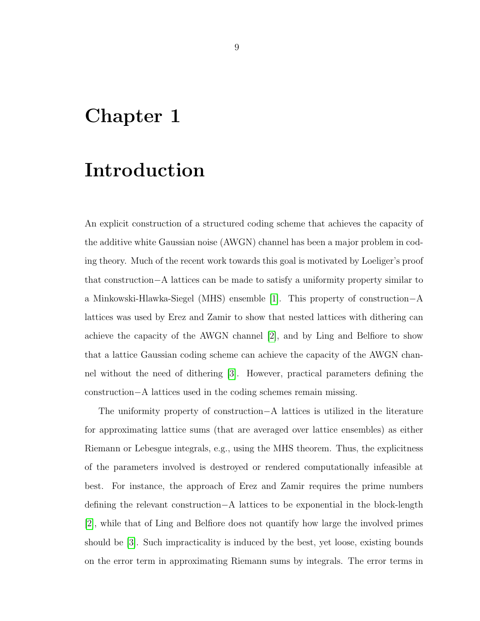### <span id="page-8-0"></span>Chapter 1

### Introduction

An explicit construction of a structured coding scheme that achieves the capacity of the additive white Gaussian noise (AWGN) channel has been a major problem in coding theory. Much of the recent work towards this goal is motivated by Loeliger's proof that construction−A lattices can be made to satisfy a uniformity property similar to a Minkowski-Hlawka-Siegel (MHS) ensemble [\[1\]](#page-55-0). This property of construction−A lattices was used by Erez and Zamir to show that nested lattices with dithering can achieve the capacity of the AWGN channel [\[2\]](#page-55-3), and by Ling and Belfiore to show that a lattice Gaussian coding scheme can achieve the capacity of the AWGN channel without the need of dithering [\[3\]](#page-55-1). However, practical parameters defining the construction−A lattices used in the coding schemes remain missing.

The uniformity property of construction−A lattices is utilized in the literature for approximating lattice sums (that are averaged over lattice ensembles) as either Riemann or Lebesgue integrals, e.g., using the MHS theorem. Thus, the explicitness of the parameters involved is destroyed or rendered computationally infeasible at best. For instance, the approach of Erez and Zamir requires the prime numbers defining the relevant construction−A lattices to be exponential in the block-length [\[2\]](#page-55-3), while that of Ling and Belfiore does not quantify how large the involved primes should be [\[3\]](#page-55-1). Such impracticality is induced by the best, yet loose, existing bounds on the error term in approximating Riemann sums by integrals. The error terms in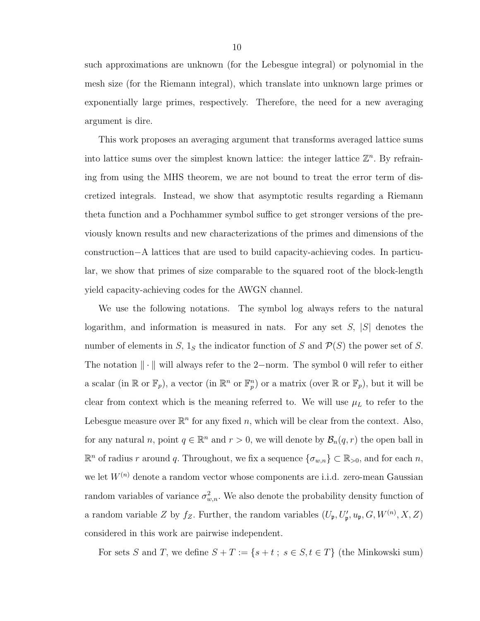such approximations are unknown (for the Lebesgue integral) or polynomial in the mesh size (for the Riemann integral), which translate into unknown large primes or exponentially large primes, respectively. Therefore, the need for a new averaging argument is dire.

This work proposes an averaging argument that transforms averaged lattice sums into lattice sums over the simplest known lattice: the integer lattice  $\mathbb{Z}^n$ . By refraining from using the MHS theorem, we are not bound to treat the error term of discretized integrals. Instead, we show that asymptotic results regarding a Riemann theta function and a Pochhammer symbol suffice to get stronger versions of the previously known results and new characterizations of the primes and dimensions of the construction−A lattices that are used to build capacity-achieving codes. In particular, we show that primes of size comparable to the squared root of the block-length yield capacity-achieving codes for the AWGN channel.

We use the following notations. The symbol log always refers to the natural logarithm, and information is measured in nats. For any set  $S$ ,  $|S|$  denotes the number of elements in S,  $1_S$  the indicator function of S and  $\mathcal{P}(S)$  the power set of S. The notation  $\|\cdot\|$  will always refer to the 2−norm. The symbol 0 will refer to either a scalar (in  $\mathbb{R}$  or  $\mathbb{F}_p$ ), a vector (in  $\mathbb{R}^n$  or  $\mathbb{F}_p^n$ ) or a matrix (over  $\mathbb{R}$  or  $\mathbb{F}_p$ ), but it will be clear from context which is the meaning referred to. We will use  $\mu_L$  to refer to the Lebesgue measure over  $\mathbb{R}^n$  for any fixed n, which will be clear from the context. Also, for any natural n, point  $q \in \mathbb{R}^n$  and  $r > 0$ , we will denote by  $\mathcal{B}_n(q,r)$  the open ball in  $\mathbb{R}^n$  of radius r around q. Throughout, we fix a sequence  $\{\sigma_{w,n}\}\subset \mathbb{R}_{>0}$ , and for each n, we let  $W^{(n)}$  denote a random vector whose components are i.i.d. zero-mean Gaussian random variables of variance  $\sigma_{w,n}^2$ . We also denote the probability density function of a random variable Z by  $f_Z$ . Further, the random variables  $(U_{\mathfrak{p}}, U'_{\mathfrak{p}}, u_{\mathfrak{p}}, G, W^{(n)}, X, Z)$ considered in this work are pairwise independent.

For sets S and T, we define  $S + T := \{s + t : s \in S, t \in T\}$  (the Minkowski sum)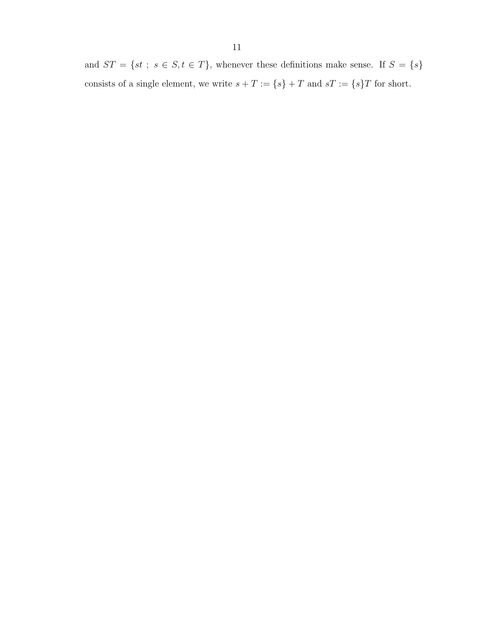and  $ST = \{st \; ; \; s \in S, t \in T\}$ , whenever these definitions make sense. If  $S = \{s\}$ consists of a single element, we write  $s+T := \{s\}+T$  and  $sT := \{s\}T$  for short.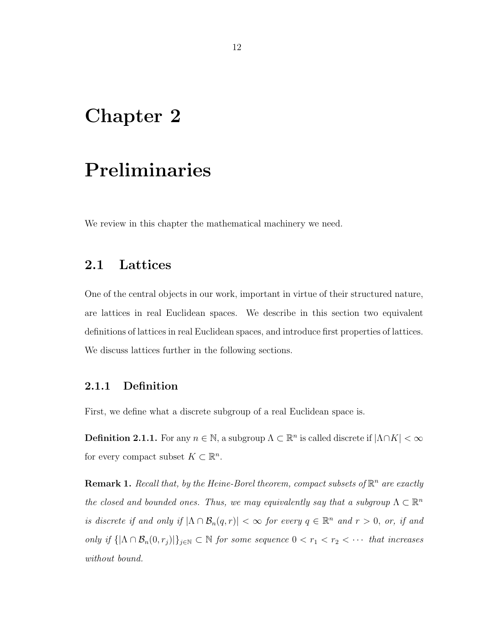### <span id="page-11-0"></span>Chapter 2

### Preliminaries

We review in this chapter the mathematical machinery we need.

#### <span id="page-11-1"></span>2.1 Lattices

One of the central objects in our work, important in virtue of their structured nature, are lattices in real Euclidean spaces. We describe in this section two equivalent definitions of lattices in real Euclidean spaces, and introduce first properties of lattices. We discuss lattices further in the following sections.

#### <span id="page-11-2"></span>2.1.1 Definition

First, we define what a discrete subgroup of a real Euclidean space is.

**Definition 2.1.1.** For any  $n \in \mathbb{N}$ , a subgroup  $\Lambda \subset \mathbb{R}^n$  is called discrete if  $|\Lambda \cap K| < \infty$ for every compact subset  $K \subset \mathbb{R}^n$ .

<span id="page-11-3"></span>**Remark 1.** Recall that, by the Heine-Borel theorem, compact subsets of  $\mathbb{R}^n$  are exactly the closed and bounded ones. Thus, we may equivalently say that a subgroup  $\Lambda \subset \mathbb{R}^n$ is discrete if and only if  $|\Lambda \cap B_n(q,r)| < \infty$  for every  $q \in \mathbb{R}^n$  and  $r > 0$ , or, if and only if  $\{|\Lambda \cap \mathcal{B}_n(0,r_j)|\}_{j\in\mathbb{N}} \subset \mathbb{N}$  for some sequence  $0 < r_1 < r_2 < \cdots$  that increases without bound.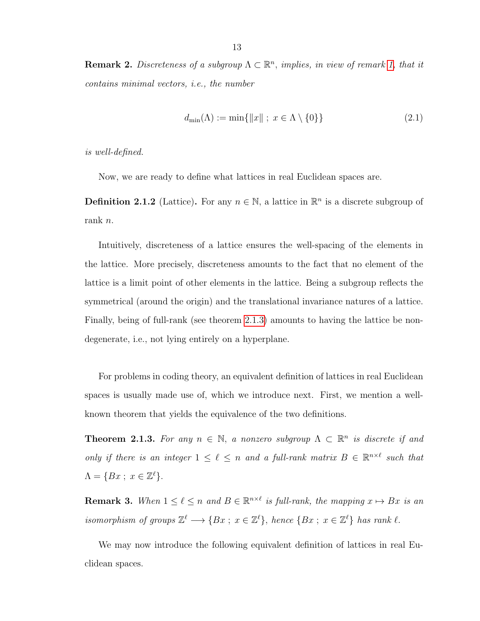**Remark 2.** Discreteness of a subgroup  $\Lambda \subset \mathbb{R}^n$ , implies, in view of remark [1,](#page-11-3) that it contains minimal vectors, i.e., the number

$$
d_{\min}(\Lambda) := \min\{\|x\| \; ; \; x \in \Lambda \setminus \{0\}\}\tag{2.1}
$$

is well-defined.

Now, we are ready to define what lattices in real Euclidean spaces are.

**Definition 2.1.2** (Lattice). For any  $n \in \mathbb{N}$ , a lattice in  $\mathbb{R}^n$  is a discrete subgroup of rank n.

Intuitively, discreteness of a lattice ensures the well-spacing of the elements in the lattice. More precisely, discreteness amounts to the fact that no element of the lattice is a limit point of other elements in the lattice. Being a subgroup reflects the symmetrical (around the origin) and the translational invariance natures of a lattice. Finally, being of full-rank (see theorem [2.1.3\)](#page-12-0) amounts to having the lattice be nondegenerate, i.e., not lying entirely on a hyperplane.

For problems in coding theory, an equivalent definition of lattices in real Euclidean spaces is usually made use of, which we introduce next. First, we mention a wellknown theorem that yields the equivalence of the two definitions.

<span id="page-12-0"></span>**Theorem 2.1.3.** For any  $n \in \mathbb{N}$ , a nonzero subgroup  $\Lambda \subset \mathbb{R}^n$  is discrete if and only if there is an integer  $1 \leq \ell \leq n$  and a full-rank matrix  $B \in \mathbb{R}^{n \times \ell}$  such that  $\Lambda = \{Bx \; ; \; x \in \mathbb{Z}^{\ell}\}.$ 

**Remark 3.** When  $1 \leq \ell \leq n$  and  $B \in \mathbb{R}^{n \times \ell}$  is full-rank, the mapping  $x \mapsto Bx$  is an isomorphism of groups  $\mathbb{Z}^{\ell} \longrightarrow \{Bx \,;\, x \in \mathbb{Z}^{\ell}\},\$  hence  $\{Bx \,;\, x \in \mathbb{Z}^{\ell}\}\$  has rank  $\ell$ .

We may now introduce the following equivalent definition of lattices in real Euclidean spaces.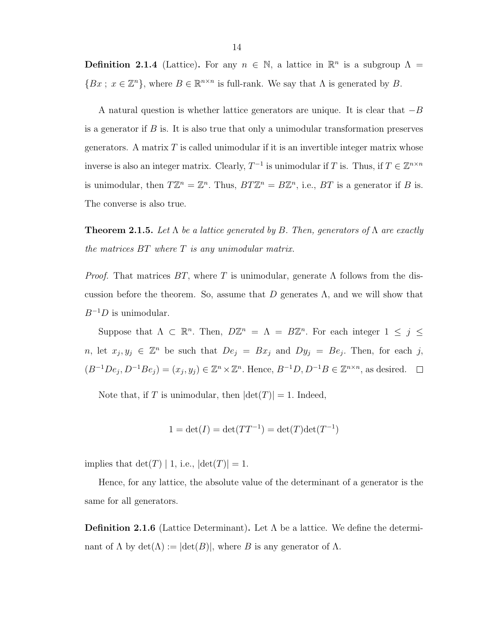**Definition 2.1.4** (Lattice). For any  $n \in \mathbb{N}$ , a lattice in  $\mathbb{R}^n$  is a subgroup  $\Lambda =$  ${Bx \text{ ; } x \in \mathbb{Z}^n}$ , where  $B \in \mathbb{R}^{n \times n}$  is full-rank. We say that  $\Lambda$  is generated by B.

A natural question is whether lattice generators are unique. It is clear that  $-B$ is a generator if  $B$  is. It is also true that only a unimodular transformation preserves generators. A matrix  $T$  is called unimodular if it is an invertible integer matrix whose inverse is also an integer matrix. Clearly,  $T^{-1}$  is unimodular if T is. Thus, if  $T \in \mathbb{Z}^{n \times n}$ is unimodular, then  $T\mathbb{Z}^n = \mathbb{Z}^n$ . Thus,  $BT\mathbb{Z}^n = B\mathbb{Z}^n$ , i.e.,  $BT$  is a generator if B is. The converse is also true.

**Theorem 2.1.5.** Let  $\Lambda$  be a lattice generated by B. Then, generators of  $\Lambda$  are exactly the matrices BT where T is any unimodular matrix.

*Proof.* That matrices  $BT$ , where T is unimodular, generate  $\Lambda$  follows from the discussion before the theorem. So, assume that D generates  $\Lambda$ , and we will show that  $B^{-1}D$  is unimodular.

Suppose that  $\Lambda \subset \mathbb{R}^n$ . Then,  $D\mathbb{Z}^n = \Lambda = B\mathbb{Z}^n$ . For each integer  $1 \leq j \leq n$ n, let  $x_j, y_j \in \mathbb{Z}^n$  be such that  $De_j = Bx_j$  and  $Dy_j = Be_j$ . Then, for each j,  $(B^{-1}De_j, D^{-1}Be_j) = (x_j, y_j) \in \mathbb{Z}^n \times \mathbb{Z}^n$ . Hence,  $B^{-1}D, D^{-1}B \in \mathbb{Z}^{n \times n}$ , as desired.

Note that, if T is unimodular, then  $|\text{det}(T)| = 1$ . Indeed,

$$
1 = \det(I) = \det(TT^{-1}) = \det(T)\det(T^{-1})
$$

implies that  $\det(T) | 1$ , i.e.,  $|\det(T)| = 1$ .

Hence, for any lattice, the absolute value of the determinant of a generator is the same for all generators.

**Definition 2.1.6** (Lattice Determinant). Let  $\Lambda$  be a lattice. We define the determinant of  $\Lambda$  by  $\det(\Lambda) := |\det(B)|$ , where B is any generator of  $\Lambda$ .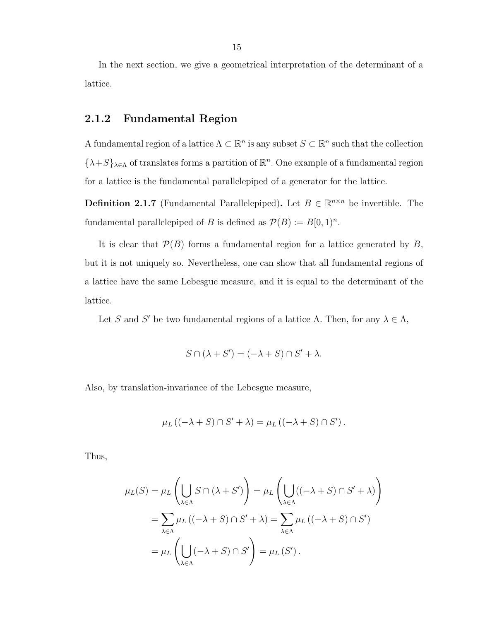In the next section, we give a geometrical interpretation of the determinant of a lattice.

#### <span id="page-14-0"></span>2.1.2 Fundamental Region

A fundamental region of a lattice  $\Lambda \subset \mathbb{R}^n$  is any subset  $S \subset \mathbb{R}^n$  such that the collection  $\{\lambda+S\}_{\lambda\in\Lambda}$  of translates forms a partition of  $\mathbb{R}^n$ . One example of a fundamental region for a lattice is the fundamental parallelepiped of a generator for the lattice.

**Definition 2.1.7** (Fundamental Parallelepiped). Let  $B \in \mathbb{R}^{n \times n}$  be invertible. The fundamental parallelepiped of B is defined as  $\mathcal{P}(B) := B[0,1)^n$ .

It is clear that  $P(B)$  forms a fundamental region for a lattice generated by B, but it is not uniquely so. Nevertheless, one can show that all fundamental regions of a lattice have the same Lebesgue measure, and it is equal to the determinant of the lattice.

Let S and S' be two fundamental regions of a lattice  $\Lambda$ . Then, for any  $\lambda \in \Lambda$ ,

$$
S \cap (\lambda + S') = (-\lambda + S) \cap S' + \lambda.
$$

Also, by translation-invariance of the Lebesgue measure,

$$
\mu_L ((-\lambda + S) \cap S' + \lambda) = \mu_L ((-\lambda + S) \cap S').
$$

Thus,

$$
\mu_L(S) = \mu_L \left( \bigcup_{\lambda \in \Lambda} S \cap (\lambda + S') \right) = \mu_L \left( \bigcup_{\lambda \in \Lambda} ((-\lambda + S) \cap S' + \lambda) \right)
$$

$$
= \sum_{\lambda \in \Lambda} \mu_L ((-\lambda + S) \cap S' + \lambda) = \sum_{\lambda \in \Lambda} \mu_L ((-\lambda + S) \cap S')
$$

$$
= \mu_L \left( \bigcup_{\lambda \in \Lambda} (-\lambda + S) \cap S' \right) = \mu_L (S').
$$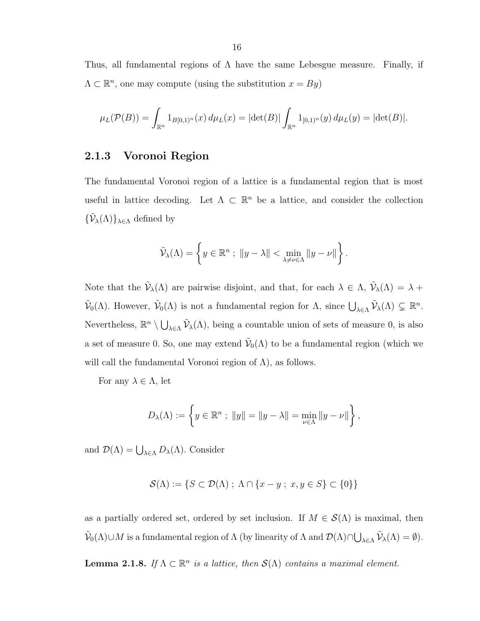Thus, all fundamental regions of  $\Lambda$  have the same Lebesgue measure. Finally, if  $\Lambda \subset \mathbb{R}^n$ , one may compute (using the substitution  $x = By$ )

$$
\mu_L(\mathcal{P}(B)) = \int_{\mathbb{R}^n} 1_{B[0,1)^n}(x) d\mu_L(x) = |\det(B)| \int_{\mathbb{R}^n} 1_{[0,1)^n}(y) d\mu_L(y) = |\det(B)|.
$$

#### <span id="page-15-0"></span>2.1.3 Voronoi Region

The fundamental Voronoi region of a lattice is a fundamental region that is most useful in lattice decoding. Let  $\Lambda \subset \mathbb{R}^n$  be a lattice, and consider the collection  $\{\tilde{\mathcal{V}}_{\lambda}(\Lambda)\}_{\lambda \in \Lambda}$  defined by

$$
\tilde{\mathcal{V}}_{\lambda}(\Lambda) = \left\{ y \in \mathbb{R}^n ; \ \|y - \lambda\| < \min_{\lambda \neq \nu \in \Lambda} \|y - \nu\| \right\}.
$$

Note that the  $\tilde{\mathcal{V}}_{\lambda}(\Lambda)$  are pairwise disjoint, and that, for each  $\lambda \in \Lambda$ ,  $\tilde{\mathcal{V}}_{\lambda}(\Lambda) = \lambda +$  $\tilde{\mathcal{V}}_0(\Lambda)$ . However,  $\tilde{\mathcal{V}}_0(\Lambda)$  is not a fundamental region for  $\Lambda$ , since  $\bigcup_{\lambda \in \Lambda} \tilde{\mathcal{V}}_{\lambda}(\Lambda) \subsetneq \mathbb{R}^n$ . Nevertheless,  $\mathbb{R}^n \setminus \bigcup_{\lambda \in \Lambda} \tilde{\mathcal{V}}_{\lambda}(\Lambda)$ , being a countable union of sets of measure 0, is also a set of measure 0. So, one may extend  $\tilde{\mathcal{V}}_0(\Lambda)$  to be a fundamental region (which we will call the fundamental Voronoi region of  $\Lambda$ ), as follows.

For any  $\lambda \in \Lambda$ , let

$$
D_{\lambda}(\Lambda) := \left\{ y \in \mathbb{R}^n ; \|y\| = \|y - \lambda\| = \min_{\nu \in \Lambda} \|y - \nu\| \right\},\
$$

and  $\mathcal{D}(\Lambda) = \bigcup_{\lambda \in \Lambda} D_{\lambda}(\Lambda)$ . Consider

$$
\mathcal{S}(\Lambda) := \{ S \subset \mathcal{D}(\Lambda) \; ; \; \Lambda \cap \{ x - y \; ; \; x, y \in S \} \subset \{ 0 \} \}
$$

as a partially ordered set, ordered by set inclusion. If  $M \in \mathcal{S}(\Lambda)$  is maximal, then  $\widetilde{\mathcal{V}}_0(\Lambda) \cup M$  is a fundamental region of  $\Lambda$  (by linearity of  $\Lambda$  and  $\mathcal{D}(\Lambda) \cap \bigcup_{\lambda \in \Lambda} \widetilde{\mathcal{V}}_{\lambda}(\Lambda) = \emptyset$ ).

**Lemma 2.1.8.** If  $\Lambda \subset \mathbb{R}^n$  is a lattice, then  $\mathcal{S}(\Lambda)$  contains a maximal element.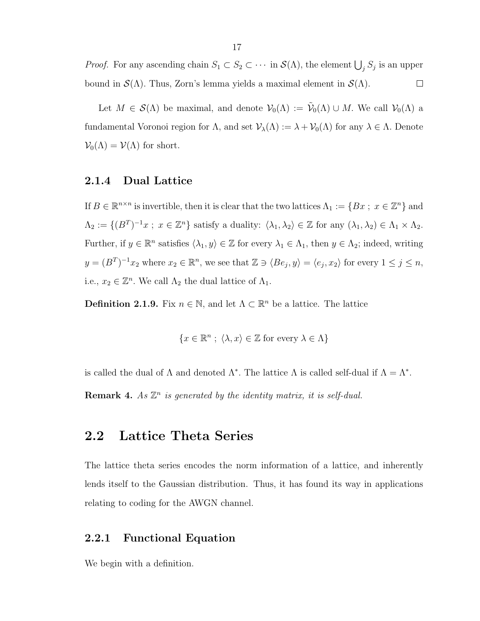*Proof.* For any ascending chain  $S_1 \subset S_2 \subset \cdots$  in  $\mathcal{S}(\Lambda)$ , the element  $\bigcup_j S_j$  is an upper bound in  $\mathcal{S}(\Lambda)$ . Thus, Zorn's lemma yields a maximal element in  $\mathcal{S}(\Lambda)$ .  $\Box$ 

Let  $M \in \mathcal{S}(\Lambda)$  be maximal, and denote  $\mathcal{V}_0(\Lambda) := \tilde{\mathcal{V}}_0(\Lambda) \cup M$ . We call  $\mathcal{V}_0(\Lambda)$  a fundamental Voronoi region for  $\Lambda$ , and set  $\mathcal{V}_\lambda(\Lambda) := \lambda + \mathcal{V}_0(\Lambda)$  for any  $\lambda \in \Lambda$ . Denote  $\mathcal{V}_0(\Lambda) = \mathcal{V}(\Lambda)$  for short.

#### <span id="page-16-0"></span>2.1.4 Dual Lattice

If  $B \in \mathbb{R}^{n \times n}$  is invertible, then it is clear that the two lattices  $\Lambda_1 := \{Bx \, ; \, x \in \mathbb{Z}^n\}$  and  $\Lambda_2 := \{(B^T)^{-1}x \; ; \; x \in \mathbb{Z}^n\}$  satisfy a duality:  $\langle \lambda_1, \lambda_2 \rangle \in \mathbb{Z}$  for any  $(\lambda_1, \lambda_2) \in \Lambda_1 \times \Lambda_2$ . Further, if  $y \in \mathbb{R}^n$  satisfies  $\langle \lambda_1, y \rangle \in \mathbb{Z}$  for every  $\lambda_1 \in \Lambda_1$ , then  $y \in \Lambda_2$ ; indeed, writing  $y = (B^T)^{-1}x_2$  where  $x_2 \in \mathbb{R}^n$ , we see that  $\mathbb{Z} \ni \langle Be_j, y \rangle = \langle e_j, x_2 \rangle$  for every  $1 \leq j \leq n$ , i.e.,  $x_2 \in \mathbb{Z}^n$ . We call  $\Lambda_2$  the dual lattice of  $\Lambda_1$ .

**Definition 2.1.9.** Fix  $n \in \mathbb{N}$ , and let  $\Lambda \subset \mathbb{R}^n$  be a lattice. The lattice

$$
\{x \in \mathbb{R}^n; \ \langle \lambda, x \rangle \in \mathbb{Z} \text{ for every } \lambda \in \Lambda\}
$$

is called the dual of  $\Lambda$  and denoted  $\Lambda^*$ . The lattice  $\Lambda$  is called self-dual if  $\Lambda = \Lambda^*$ .

**Remark 4.** As  $\mathbb{Z}^n$  is generated by the identity matrix, it is self-dual.

#### <span id="page-16-1"></span>2.2 Lattice Theta Series

The lattice theta series encodes the norm information of a lattice, and inherently lends itself to the Gaussian distribution. Thus, it has found its way in applications relating to coding for the AWGN channel.

#### <span id="page-16-2"></span>2.2.1 Functional Equation

We begin with a definition.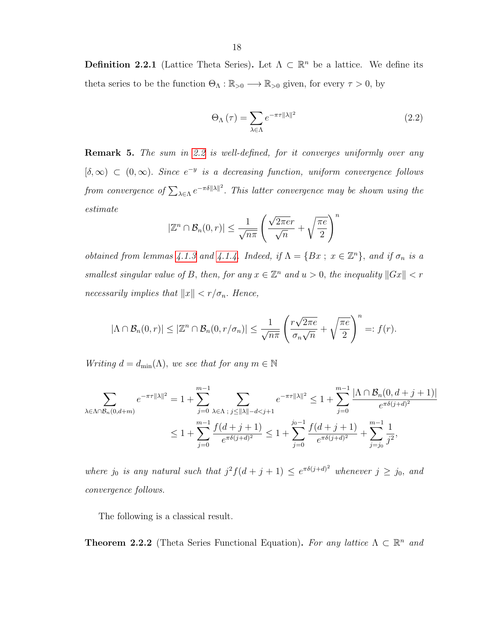**Definition 2.2.1** (Lattice Theta Series). Let  $\Lambda \subset \mathbb{R}^n$  be a lattice. We define its theta series to be the function  $\Theta_{\Lambda}: \mathbb{R}_{>0} \longrightarrow \mathbb{R}_{>0}$  given, for every  $\tau > 0$ , by

<span id="page-17-0"></span>
$$
\Theta_{\Lambda}\left(\tau\right) = \sum_{\lambda \in \Lambda} e^{-\pi\tau \|\lambda\|^2} \tag{2.2}
$$

Remark 5. The sum in [2.2](#page-17-0) is well-defined, for it converges uniformly over any  $[\delta, \infty) \subset (0, \infty)$ . Since  $e^{-y}$  is a decreasing function, uniform convergence follows from convergence of  $\sum_{\lambda \in \Lambda} e^{-\pi \delta \|\lambda\|^2}$ . This latter convergence may be shown using the estimate

$$
|\mathbb{Z}^n \cap \mathcal{B}_n(0,r)| \le \frac{1}{\sqrt{n\pi}} \left( \frac{\sqrt{2\pi e r}}{\sqrt{n}} + \sqrt{\frac{\pi e}{2}} \right)^n
$$

*obtained from lemmas [4.1.3](#page-36-0) and [4.1.4.](#page-36-1) Indeed, if*  $\Lambda = \{Bx \, ; \, x \in \mathbb{Z}^n\}$ *, and if*  $\sigma_n$  *is a* smallest singular value of B, then, for any  $x \in \mathbb{Z}^n$  and  $u > 0$ , the inequality  $||Gx|| < r$ necessarily implies that  $||x|| < r/\sigma_n$ . Hence,

$$
|\Lambda \cap \mathcal{B}_n(0,r)| \leq |\mathbb{Z}^n \cap \mathcal{B}_n(0,r/\sigma_n)| \leq \frac{1}{\sqrt{n\pi}} \left(\frac{r\sqrt{2\pi e}}{\sigma_n\sqrt{n}} + \sqrt{\frac{\pi e}{2}}\right)^n =: f(r).
$$

Writing  $d = d_{\min}(\Lambda)$ , we see that for any  $m \in \mathbb{N}$ 

$$
\sum_{\lambda \in \Lambda \cap B_n(0,d+m)} e^{-\pi \tau ||\lambda||^2} = 1 + \sum_{j=0}^{m-1} \sum_{\lambda \in \Lambda \, ; \, j \le ||\lambda|| - d < j+1} e^{-\pi \tau ||\lambda||^2} \le 1 + \sum_{j=0}^{m-1} \frac{|\Lambda \cap B_n(0,d+j+1)|}{e^{\pi \delta(j+d)^2}} \\
\le 1 + \sum_{j=0}^{m-1} \frac{f(d+j+1)}{e^{\pi \delta(j+d)^2}} \le 1 + \sum_{j=0}^{j_0-1} \frac{f(d+j+1)}{e^{\pi \delta(j+d)^2}} + \sum_{j=j_0}^{m-1} \frac{1}{j^2},
$$

where  $j_0$  is any natural such that  $j^2 f(d+j+1) \leq e^{\pi \delta (j+d)^2}$  whenever  $j \geq j_0$ , and convergence follows.

The following is a classical result.

<span id="page-17-1"></span>**Theorem 2.2.2** (Theta Series Functional Equation). For any lattice  $\Lambda \subset \mathbb{R}^n$  and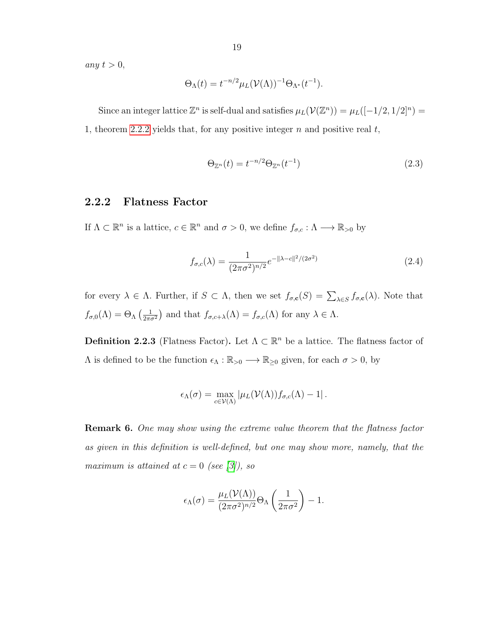any  $t > 0$ ,

$$
\Theta_{\Lambda}(t) = t^{-n/2} \mu_L(\mathcal{V}(\Lambda))^{-1} \Theta_{\Lambda^*}(t^{-1}).
$$

Since an integer lattice  $\mathbb{Z}^n$  is self-dual and satisfies  $\mu_L(\mathcal{V}(\mathbb{Z}^n)) = \mu_L([-1/2, 1/2]^n) =$ 1, theorem [2.2.2](#page-17-1) yields that, for any positive integer  $n$  and positive real  $t$ ,

<span id="page-18-1"></span>
$$
\Theta_{\mathbb{Z}^n}(t) = t^{-n/2} \Theta_{\mathbb{Z}^n}(t^{-1}) \tag{2.3}
$$

#### <span id="page-18-0"></span>2.2.2 Flatness Factor

If  $\Lambda \subset \mathbb{R}^n$  is a lattice,  $c \in \mathbb{R}^n$  and  $\sigma > 0$ , we define  $f_{\sigma,c} : \Lambda \longrightarrow \mathbb{R}_{>0}$  by

$$
f_{\sigma,c}(\lambda) = \frac{1}{(2\pi\sigma^2)^{n/2}} e^{-\|\lambda - c\|^2/(2\sigma^2)}
$$
\n(2.4)

for every  $\lambda \in \Lambda$ . Further, if  $S \subset \Lambda$ , then we set  $f_{\sigma,\mathbf{c}}(S) = \sum_{\lambda \in S} f_{\sigma,\mathbf{c}}(\lambda)$ . Note that  $f_{\sigma,0}(\Lambda) = \Theta_{\Lambda} \left( \frac{1}{2\pi d} \right)$  $\frac{1}{2\pi\sigma^2}$  and that  $f_{\sigma,c+\lambda}(\Lambda) = f_{\sigma,c}(\Lambda)$  for any  $\lambda \in \Lambda$ .

**Definition 2.2.3** (Flatness Factor). Let  $\Lambda \subset \mathbb{R}^n$  be a lattice. The flatness factor of  $Λ$  is defined to be the function  $\epsilon_\Lambda : \mathbb{R}_{>0} \longrightarrow \mathbb{R}_{\geq 0}$  given, for each  $σ > 0$ , by

$$
\epsilon_{\Lambda}(\sigma) = \max_{c \in \mathcal{V}(\Lambda)} |\mu_L(\mathcal{V}(\Lambda))f_{\sigma,c}(\Lambda) - 1|.
$$

Remark 6. One may show using the extreme value theorem that the flatness factor as given in this definition is well-defined, but one may show more, namely, that the maximum is attained at  $c = 0$  (see [\[3\]](#page-55-1)), so

$$
\epsilon_{\Lambda}(\sigma) = \frac{\mu_L(\mathcal{V}(\Lambda))}{(2\pi\sigma^2)^{n/2}} \Theta_{\Lambda} \left(\frac{1}{2\pi\sigma^2}\right) - 1.
$$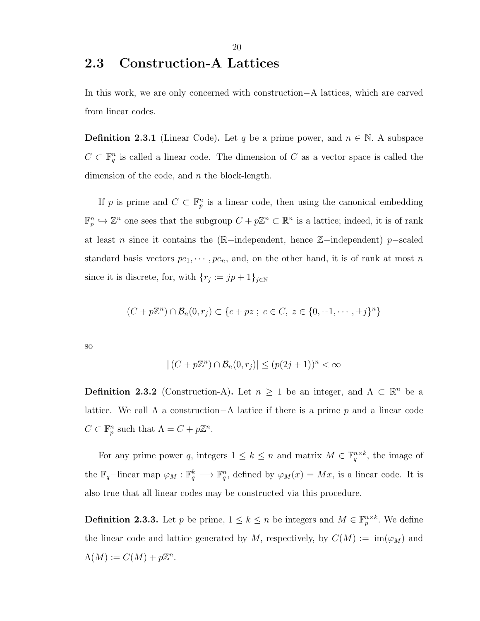### <span id="page-19-0"></span>2.3 Construction-A Lattices

In this work, we are only concerned with construction−A lattices, which are carved from linear codes.

**Definition 2.3.1** (Linear Code). Let q be a prime power, and  $n \in \mathbb{N}$ . A subspace  $C \subset \mathbb{F}_q^n$  is called a linear code. The dimension of C as a vector space is called the dimension of the code, and  $n$  the block-length.

If p is prime and  $C \subset \mathbb{F}_p^n$  is a linear code, then using the canonical embedding  $\mathbb{F}_p^n \hookrightarrow \mathbb{Z}^n$  one sees that the subgroup  $C + p\mathbb{Z}^n \subset \mathbb{R}^n$  is a lattice; indeed, it is of rank at least n since it contains the (R−independent, hence Z−independent) p−scaled standard basis vectors  $pe_1, \dots, pe_n$ , and, on the other hand, it is of rank at most n since it is discrete, for, with  $\{r_j := jp + 1\}_{j \in \mathbb{N}}$ 

$$
(C + p\mathbb{Z}^n) \cap \mathcal{B}_n(0, r_j) \subset \{c + pz \; ; \; c \in C, \; z \in \{0, \pm 1, \cdots, \pm j\}^n\}
$$

so

$$
|(C + p\mathbb{Z}^n) \cap \mathcal{B}_n(0, r_j)| \le (p(2j + 1))^n < \infty
$$

**Definition 2.3.2** (Construction-A). Let  $n \geq 1$  be an integer, and  $\Lambda \subset \mathbb{R}^n$  be a lattice. We call Λ a construction−A lattice if there is a prime p and a linear code  $C \subset \mathbb{F}_p^n$  such that  $\Lambda = C + p\mathbb{Z}^n$ .

For any prime power q, integers  $1 \leq k \leq n$  and matrix  $M \in \mathbb{F}_q^{n \times k}$ , the image of the  $\mathbb{F}_q$ -linear map  $\varphi_M : \mathbb{F}_q^k \longrightarrow \mathbb{F}_q^n$ , defined by  $\varphi_M(x) = Mx$ , is a linear code. It is also true that all linear codes may be constructed via this procedure.

**Definition 2.3.3.** Let p be prime,  $1 \leq k \leq n$  be integers and  $M \in \mathbb{F}_p^{n \times k}$ . We define the linear code and lattice generated by M, respectively, by  $C(M) := \text{im}(\varphi_M)$  and  $\Lambda(M) := C(M) + p\mathbb{Z}^n$ .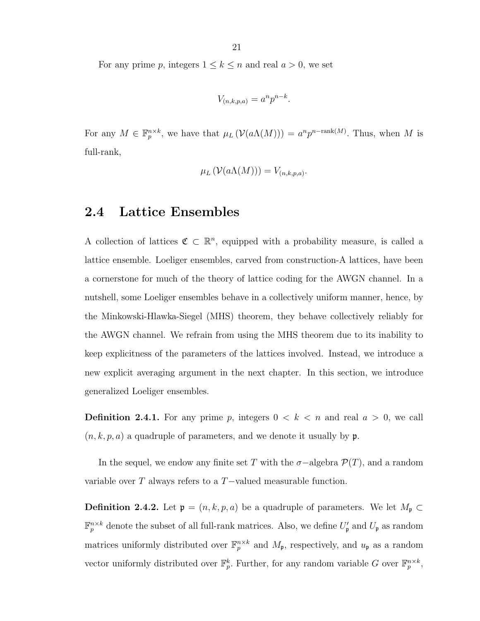For any prime p, integers  $1 \leq k \leq n$  and real  $a > 0$ , we set

$$
V_{(n,k,p,a)} = a^n p^{n-k}.
$$

For any  $M \in \mathbb{F}_p^{n \times k}$ , we have that  $\mu_L(\mathcal{V}(a\Lambda(M))) = a^n p^{n-\text{rank}(M)}$ . Thus, when M is full-rank,

$$
\mu_L(\mathcal{V}(a\Lambda(M))) = V_{(n,k,p,a)}.
$$

#### <span id="page-20-0"></span>2.4 Lattice Ensembles

A collection of lattices  $\mathfrak{C} \subset \mathbb{R}^n$ , equipped with a probability measure, is called a lattice ensemble. Loeliger ensembles, carved from construction-A lattices, have been a cornerstone for much of the theory of lattice coding for the AWGN channel. In a nutshell, some Loeliger ensembles behave in a collectively uniform manner, hence, by the Minkowski-Hlawka-Siegel (MHS) theorem, they behave collectively reliably for the AWGN channel. We refrain from using the MHS theorem due to its inability to keep explicitness of the parameters of the lattices involved. Instead, we introduce a new explicit averaging argument in the next chapter. In this section, we introduce generalized Loeliger ensembles.

**Definition 2.4.1.** For any prime p, integers  $0 < k < n$  and real  $a > 0$ , we call  $(n, k, p, a)$  a quadruple of parameters, and we denote it usually by p.

In the sequel, we endow any finite set T with the  $\sigma$ -algebra  $\mathcal{P}(T)$ , and a random variable over T always refers to a T−valued measurable function.

**Definition 2.4.2.** Let  $\mathfrak{p} = (n, k, p, a)$  be a quadruple of parameters. We let  $M_{\mathfrak{p}} \subset$  $\mathbb{F}_p^{n\times k}$  denote the subset of all full-rank matrices. Also, we define  $U'_{\mathfrak{p}}$  and  $U_{\mathfrak{p}}$  as random matrices uniformly distributed over  $\mathbb{F}_p^{n \times k}$  and  $M_p$ , respectively, and  $u_p$  as a random vector uniformly distributed over  $\mathbb{F}_p^k$ . Further, for any random variable G over  $\mathbb{F}_p^{n \times k}$ ,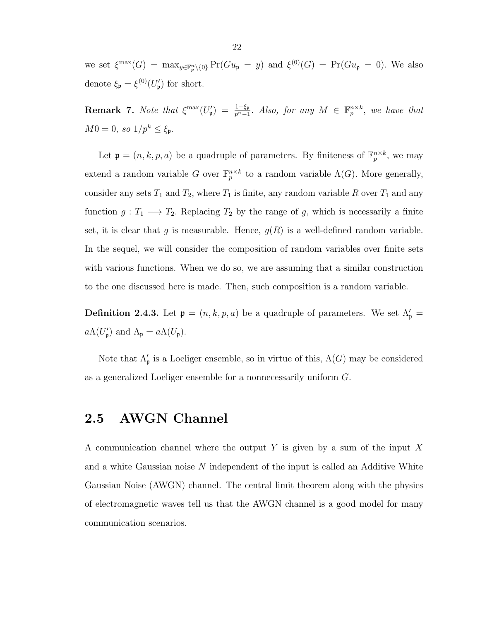we set  $\xi^{\max}(G) = \max_{y \in \mathbb{F}_p^n \setminus \{0\}} \Pr(Gu_{\mathfrak{p}} = y)$  and  $\xi^{(0)}(G) = \Pr(Gu_{\mathfrak{p}} = 0)$ . We also denote  $\xi_{\mathfrak{p}} = \xi^{(0)}(U'_{\mathfrak{p}})$  for short.

**Remark 7.** Note that  $\xi^{\max}(U'_{\mathfrak{p}}) = \frac{1-\xi_{\mathfrak{p}}}{p^{n}-1}$ . Also, for any  $M \in \mathbb{F}_p^{n \times k}$ , we have that  $M0=0,\ so\ 1/p^k\leq\xi_{\mathfrak{p}}.$ 

Let  $\mathfrak{p} = (n, k, p, a)$  be a quadruple of parameters. By finiteness of  $\mathbb{F}_p^{n \times k}$ , we may extend a random variable G over  $\mathbb{F}_p^{n \times k}$  to a random variable  $\Lambda(G)$ . More generally, consider any sets  $T_1$  and  $T_2$ , where  $T_1$  is finite, any random variable R over  $T_1$  and any function  $g: T_1 \longrightarrow T_2$ . Replacing  $T_2$  by the range of g, which is necessarily a finite set, it is clear that g is measurable. Hence,  $g(R)$  is a well-defined random variable. In the sequel, we will consider the composition of random variables over finite sets with various functions. When we do so, we are assuming that a similar construction to the one discussed here is made. Then, such composition is a random variable.

**Definition 2.4.3.** Let  $\mathfrak{p} = (n, k, p, a)$  be a quadruple of parameters. We set  $\Lambda_{\mathfrak{p}}' =$  $a\Lambda(U'_{\mathfrak{p}})$  and  $\Lambda_{\mathfrak{p}}=a\Lambda(U_{\mathfrak{p}}).$ 

Note that  $\Lambda_{\mathfrak{p}}'$  is a Loeliger ensemble, so in virtue of this,  $\Lambda(G)$  may be considered as a generalized Loeliger ensemble for a nonnecessarily uniform G.

#### <span id="page-21-0"></span>2.5 AWGN Channel

A communication channel where the output Y is given by a sum of the input X and a white Gaussian noise N independent of the input is called an Additive White Gaussian Noise (AWGN) channel. The central limit theorem along with the physics of electromagnetic waves tell us that the AWGN channel is a good model for many communication scenarios.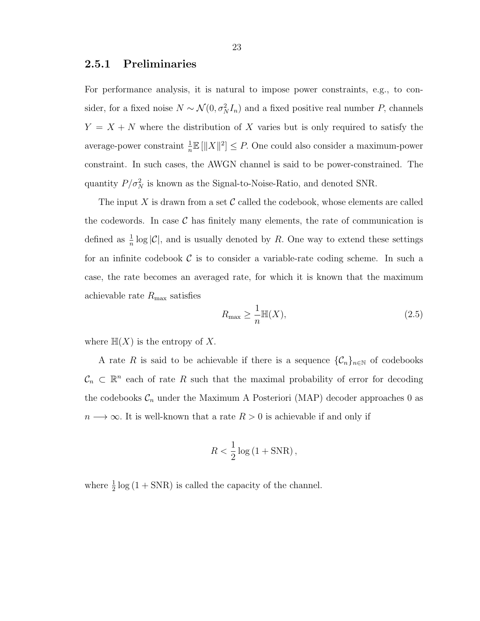#### <span id="page-22-0"></span>2.5.1 Preliminaries

For performance analysis, it is natural to impose power constraints, e.g., to consider, for a fixed noise  $N \sim \mathcal{N}(0, \sigma_N^2 I_n)$  and a fixed positive real number P, channels  $Y = X + N$  where the distribution of X varies but is only required to satisfy the average-power constraint  $\frac{1}{n}\mathbb{E}[\|X\|^2] \leq P$ . One could also consider a maximum-power constraint. In such cases, the AWGN channel is said to be power-constrained. The quantity  $P/\sigma_N^2$  is known as the Signal-to-Noise-Ratio, and denoted SNR.

The input X is drawn from a set  $\mathcal C$  called the codebook, whose elements are called the codewords. In case  $\mathcal C$  has finitely many elements, the rate of communication is defined as  $\frac{1}{n} \log |\mathcal{C}|$ , and is usually denoted by R. One way to extend these settings for an infinite codebook  $\mathcal C$  is to consider a variable-rate coding scheme. In such a case, the rate becomes an averaged rate, for which it is known that the maximum achievable rate  $R_{\text{max}}$  satisfies

$$
R_{\max} \ge \frac{1}{n} \mathbb{H}(X),\tag{2.5}
$$

where  $\mathbb{H}(X)$  is the entropy of X.

A rate R is said to be achievable if there is a sequence  $\{\mathcal{C}_n\}_{n\in\mathbb{N}}$  of codebooks  $\mathcal{C}_n \subset \mathbb{R}^n$  each of rate R such that the maximal probability of error for decoding the codebooks  $C_n$  under the Maximum A Posteriori (MAP) decoder approaches 0 as  $n \longrightarrow \infty$ . It is well-known that a rate  $R > 0$  is achievable if and only if

$$
R < \frac{1}{2} \log \left( 1 + \text{SNR} \right),
$$

where  $\frac{1}{2}$  log (1 + SNR) is called the capacity of the channel.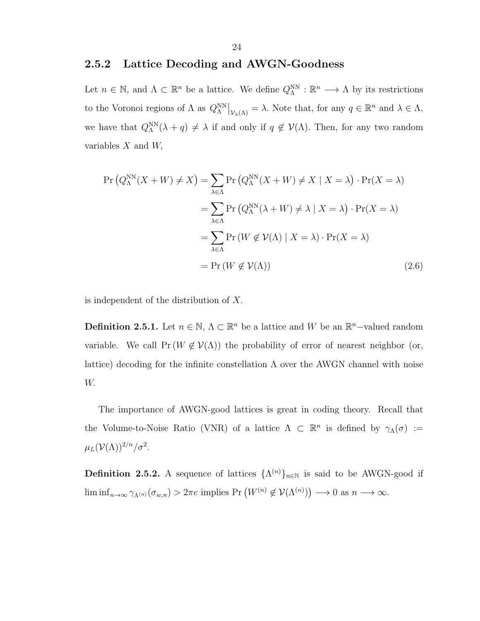#### <span id="page-23-0"></span>2.5.2 Lattice Decoding and AWGN-Goodness

Let  $n \in \mathbb{N}$ , and  $\Lambda \subset \mathbb{R}^n$  be a lattice. We define  $Q_{\Lambda}^{\text{NN}} : \mathbb{R}^n \longrightarrow \Lambda$  by its restrictions to the Voronoi regions of  $\Lambda$  as  $Q_{\Lambda}^{\text{NN}}|_{\mathcal{V}_{\lambda}(\Lambda)} = \lambda$ . Note that, for any  $q \in \mathbb{R}^n$  and  $\lambda \in \Lambda$ , we have that  $Q_{\Lambda}^{NN}(\lambda + q) \neq \lambda$  if and only if  $q \notin \mathcal{V}(\Lambda)$ . Then, for any two random variables  $X$  and  $W$ ,

$$
\Pr\left(Q_{\Lambda}^{\text{NN}}(X+W) \neq X\right) = \sum_{\lambda \in \Lambda} \Pr\left(Q_{\Lambda}^{\text{NN}}(X+W) \neq X \mid X=\lambda\right) \cdot \Pr(X=\lambda)
$$

$$
= \sum_{\lambda \in \Lambda} \Pr\left(Q_{\Lambda}^{\text{NN}}(\lambda+W) \neq \lambda \mid X=\lambda\right) \cdot \Pr(X=\lambda)
$$

$$
= \sum_{\lambda \in \Lambda} \Pr\left(W \notin \mathcal{V}(\Lambda) \mid X=\lambda\right) \cdot \Pr(X=\lambda)
$$

$$
= \Pr\left(W \notin \mathcal{V}(\Lambda)\right) \tag{2.6}
$$

is independent of the distribution of X.

**Definition 2.5.1.** Let  $n \in \mathbb{N}$ ,  $\Lambda \subset \mathbb{R}^n$  be a lattice and W be an  $\mathbb{R}^n$ -valued random variable. We call  $Pr(W \notin V(\Lambda))$  the probability of error of nearest neighbor (or, lattice) decoding for the infinite constellation  $\Lambda$  over the AWGN channel with noise W.

The importance of AWGN-good lattices is great in coding theory. Recall that the Volume-to-Noise Ratio (VNR) of a lattice  $\Lambda \subset \mathbb{R}^n$  is defined by  $\gamma_\Lambda(\sigma) :=$  $\mu_L({\cal V}(\Lambda))^{2/n}/\sigma^2.$ 

**Definition 2.5.2.** A sequence of lattices  $\{\Lambda^{(n)}\}_{n\in\mathbb{N}}$  is said to be AWGN-good if  $\liminf_{n\to\infty} \gamma_{\Lambda^{(n)}}(\sigma_{w,n}) > 2\pi e$  implies  $Pr(W^{(n)} \notin \mathcal{V}(\Lambda^{(n)})) \longrightarrow 0$  as  $n \longrightarrow \infty$ .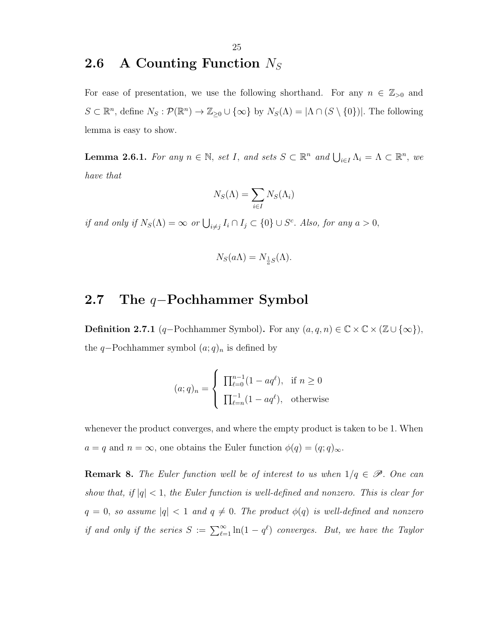### <span id="page-24-0"></span>2.6 A Counting Function  $N_S$

For ease of presentation, we use the following shorthand. For any  $n \in \mathbb{Z}_{>0}$  and  $S \subset \mathbb{R}^n$ , define  $N_S : \mathcal{P}(\mathbb{R}^n) \to \mathbb{Z}_{\geq 0} \cup \{\infty\}$  by  $N_S(\Lambda) = |\Lambda \cap (S \setminus \{0\})|$ . The following lemma is easy to show.

**Lemma 2.6.1.** For any  $n \in \mathbb{N}$ , set I, and sets  $S \subset \mathbb{R}^n$  and  $\bigcup_{i \in I} \Lambda_i = \Lambda \subset \mathbb{R}^n$ , we have that

$$
N_S(\Lambda) = \sum_{i \in I} N_S(\Lambda_i)
$$

if and only if  $N_S(\Lambda) = \infty$  or  $\bigcup_{i \neq j} I_i \cap I_j \subset \{0\} \cup S^c$ . Also, for any  $a > 0$ ,

$$
N_S(a\Lambda) = N_{\frac{1}{a}S}(\Lambda).
$$

#### <span id="page-24-1"></span>2.7 The q–Pochhammer Symbol

**Definition 2.7.1** (q-Pochhammer Symbol). For any  $(a, q, n) \in \mathbb{C} \times \mathbb{C} \times (\mathbb{Z} \cup {\infty})$ , the q–Pochhammer symbol  $(a;q)_n$  is defined by

$$
(a;q)_n = \begin{cases} \prod_{\ell=0}^{n-1} (1 - aq^{\ell}), & \text{if } n \ge 0 \\ \prod_{\ell=n}^{-1} (1 - aq^{\ell}), & \text{otherwise} \end{cases}
$$

whenever the product converges, and where the empty product is taken to be 1. When  $a = q$  and  $n = \infty$ , one obtains the Euler function  $\phi(q) = (q; q)_{\infty}$ .

**Remark 8.** The Euler function well be of interest to us when  $1/q \in \mathscr{P}$ . One can show that, if  $|q| < 1$ , the Euler function is well-defined and nonzero. This is clear for  $q = 0$ , so assume  $|q| < 1$  and  $q \neq 0$ . The product  $\phi(q)$  is well-defined and nonzero if and only if the series  $S := \sum_{\ell=1}^{\infty} \ln(1-q^{\ell})$  converges. But, we have the Taylor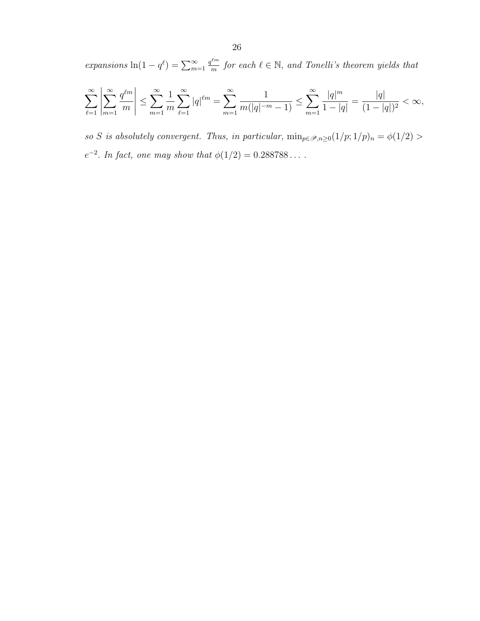expansions  $\ln(1-q^{\ell}) = \sum_{m=1}^{\infty}$  $q^{\ell m}$  $\frac{e^{im}}{m}$  for each  $\ell \in \mathbb{N}$ , and Tonelli's theorem yields that

$$
\sum_{\ell=1}^{\infty} \left| \sum_{m=1}^{\infty} \frac{q^{\ell m}}{m} \right| \leq \sum_{m=1}^{\infty} \frac{1}{m} \sum_{\ell=1}^{\infty} |q|^{\ell m} = \sum_{m=1}^{\infty} \frac{1}{m(|q|^{-m}-1)} \leq \sum_{m=1}^{\infty} \frac{|q|^m}{1-|q|} = \frac{|q|}{(1-|q|)^2} < \infty,
$$

so S is absolutely convergent. Thus, in particular,  $\min_{p \in \mathscr{P}, n \geq 0} (1/p; 1/p)_n = \phi(1/2) >$  $e^{-2}$ . In fact, one may show that  $\phi(1/2) = 0.288788...$ .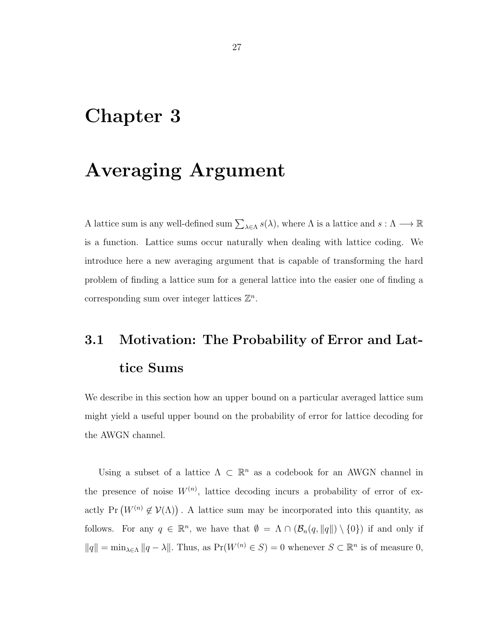### <span id="page-26-0"></span>Chapter 3

### Averaging Argument

A lattice sum is any well-defined sum  $\sum_{\lambda \in \Lambda} s(\lambda)$ , where  $\Lambda$  is a lattice and  $s : \Lambda \longrightarrow \mathbb{R}$ is a function. Lattice sums occur naturally when dealing with lattice coding. We introduce here a new averaging argument that is capable of transforming the hard problem of finding a lattice sum for a general lattice into the easier one of finding a corresponding sum over integer lattices  $\mathbb{Z}^n$ .

# <span id="page-26-1"></span>3.1 Motivation: The Probability of Error and Lattice Sums

We describe in this section how an upper bound on a particular averaged lattice sum might yield a useful upper bound on the probability of error for lattice decoding for the AWGN channel.

Using a subset of a lattice  $\Lambda \subset \mathbb{R}^n$  as a codebook for an AWGN channel in the presence of noise  $W^{(n)}$ , lattice decoding incurs a probability of error of exactly Pr  $(W^{(n)} \notin V(\Lambda))$ . A lattice sum may be incorporated into this quantity, as follows. For any  $q \in \mathbb{R}^n$ , we have that  $\emptyset = \Lambda \cap (\mathcal{B}_n(q, ||q||) \setminus \{0\})$  if and only if  $||q|| = \min_{\lambda \in \Lambda} ||q - \lambda||$ . Thus, as  $Pr(W^{(n)} \in S) = 0$  whenever  $S \subset \mathbb{R}^n$  is of measure 0,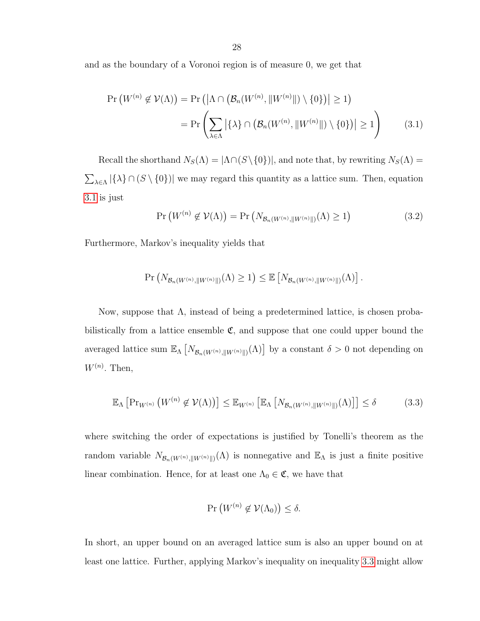and as the boundary of a Voronoi region is of measure 0, we get that

$$
\Pr\left(W^{(n)} \notin \mathcal{V}(\Lambda)\right) = \Pr\left(\left|\Lambda \cap \left(\mathcal{B}_n(W^{(n)}, \|W^{(n)}\|) \setminus \{0\}\right)\right| \ge 1\right)
$$
\n
$$
= \Pr\left(\sum_{\lambda \in \Lambda} \left|\{\lambda\} \cap \left(\mathcal{B}_n(W^{(n)}, \|W^{(n)}\|) \setminus \{0\}\right)\right| \ge 1\right) \tag{3.1}
$$

Recall the shorthand  $N_S(\Lambda) = |\Lambda \cap (S \setminus \{0\})|$ , and note that, by rewriting  $N_S(\Lambda) =$  $\sum_{\lambda \in \Lambda} |\{\lambda\} \cap (S \setminus \{0\})|$  we may regard this quantity as a lattice sum. Then, equation [3.1](#page-27-0) is just

<span id="page-27-2"></span><span id="page-27-0"></span>
$$
\Pr\left(W^{(n)} \notin \mathcal{V}(\Lambda)\right) = \Pr\left(N_{\mathcal{B}_n(W^{(n)}, \|W^{(n)}\|)}(\Lambda) \ge 1\right) \tag{3.2}
$$

Furthermore, Markov's inequality yields that

$$
\Pr\left(N_{\mathcal{B}_n(W^{(n)},\|W^{(n)}\|)}(\Lambda)\geq 1\right)\leq \mathbb{E}\left[N_{\mathcal{B}_n(W^{(n)},\|W^{(n)}\|)}(\Lambda)\right].
$$

Now, suppose that Λ, instead of being a predetermined lattice, is chosen probabilistically from a lattice ensemble  $\mathfrak{C}$ , and suppose that one could upper bound the averaged lattice sum  $\mathbb{E}_{\Lambda}\left[N_{\mathcal{B}_n(W^{(n)},\|W^{(n)}\|)}(\Lambda)\right]$  by a constant  $\delta > 0$  not depending on  $W^{(n)}$ . Then,

<span id="page-27-1"></span>
$$
\mathbb{E}_{\Lambda}\left[\Pr_{W^{(n)}}\left(W^{(n)}\notin\mathcal{V}(\Lambda)\right)\right] \leq \mathbb{E}_{W^{(n)}}\left[\mathbb{E}_{\Lambda}\left[N_{\mathcal{B}_n(W^{(n)},\|W^{(n)}\|)}(\Lambda)\right]\right] \leq \delta \tag{3.3}
$$

where switching the order of expectations is justified by Tonelli's theorem as the random variable  $N_{\mathcal{B}_n(W^{(n)}, \|W^{(n)}\|)}(\Lambda)$  is nonnegative and  $\mathbb{E}_{\Lambda}$  is just a finite positive linear combination. Hence, for at least one  $\Lambda_0 \in \mathfrak{C}$ , we have that

$$
\Pr\left(W^{(n)}\not\in\mathcal{V}(\Lambda_0)\right)\leq\delta.
$$

In short, an upper bound on an averaged lattice sum is also an upper bound on at least one lattice. Further, applying Markov's inequality on inequality [3.3](#page-27-1) might allow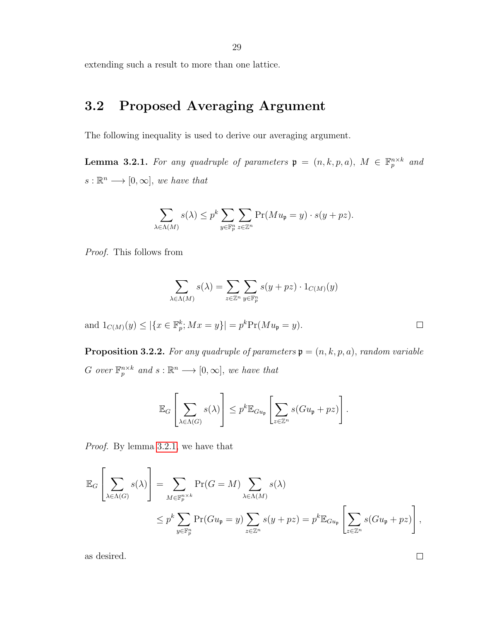29

extending such a result to more than one lattice.

### <span id="page-28-0"></span>3.2 Proposed Averaging Argument

The following inequality is used to derive our averaging argument.

<span id="page-28-1"></span>**Lemma 3.2.1.** For any quadruple of parameters  $\mathfrak{p} = (n, k, p, a), M \in \mathbb{F}_p^{n \times k}$  and  $s : \mathbb{R}^n \longrightarrow [0, \infty],$  we have that

$$
\sum_{\lambda \in \Lambda(M)} s(\lambda) \le p^k \sum_{y \in \mathbb{F}_p^n} \sum_{z \in \mathbb{Z}^n} \Pr(Mu_{\mathfrak{p}} = y) \cdot s(y + pz).
$$

Proof. This follows from

$$
\sum_{\lambda \in \Lambda(M)} s(\lambda) = \sum_{z \in \mathbb{Z}^n} \sum_{y \in \mathbb{F}_p^n} s(y + pz) \cdot 1_{C(M)}(y)
$$

and  $1_{C(M)}(y) \leq |\{x \in \mathbb{F}_p^k; Mx = y\}| = p^k \Pr(Mu_{\mathfrak{p}} = y).$ 

<span id="page-28-2"></span>**Proposition 3.2.2.** For any quadruple of parameters  $\mathfrak{p} = (n, k, p, a)$ , random variable G over  $\mathbb{F}_p^{n \times k}$  and  $s : \mathbb{R}^n \longrightarrow [0, \infty]$ , we have that

$$
\mathbb{E}_G\left[\sum_{\lambda \in \Lambda(G)} s(\lambda)\right] \leq p^k \mathbb{E}_{Gu_{\mathfrak{p}}} \left[\sum_{z \in \mathbb{Z}^n} s(Gu_{\mathfrak{p}} + pz)\right].
$$

Proof. By lemma [3.2.1,](#page-28-1) we have that

$$
\mathbb{E}_G \left[ \sum_{\lambda \in \Lambda(G)} s(\lambda) \right] = \sum_{M \in \mathbb{F}_p^{n \times k}} \Pr(G = M) \sum_{\lambda \in \Lambda(M)} s(\lambda)
$$
  

$$
\leq p^k \sum_{y \in \mathbb{F}_p^n} \Pr(Gu_{\mathfrak{p}} = y) \sum_{z \in \mathbb{Z}^n} s(y + pz) = p^k \mathbb{E}_{Gu_{\mathfrak{p}}} \left[ \sum_{z \in \mathbb{Z}^n} s(Gu_{\mathfrak{p}} + pz) \right],
$$

as desired.

 $\Box$ 

 $\Box$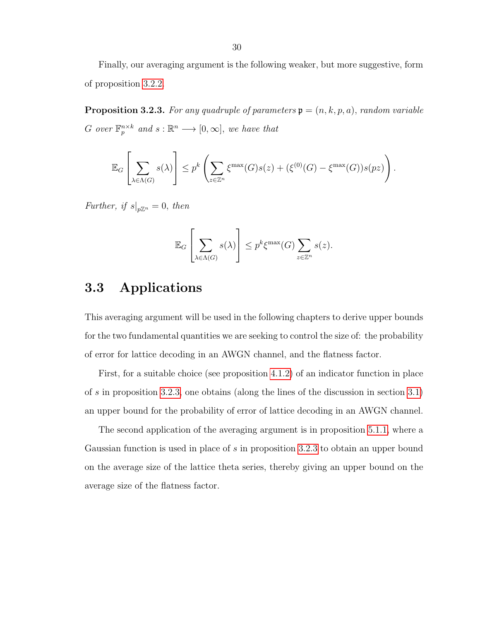Finally, our averaging argument is the following weaker, but more suggestive, form of proposition [3.2.2.](#page-28-2)

<span id="page-29-1"></span>**Proposition 3.2.3.** For any quadruple of parameters  $\mathfrak{p} = (n, k, p, a)$ , random variable G over  $\mathbb{F}_p^{n \times k}$  and  $s : \mathbb{R}^n \longrightarrow [0, \infty]$ , we have that

$$
\mathbb{E}_G\left[\sum_{\lambda \in \Lambda(G)} s(\lambda)\right] \leq p^k \left(\sum_{z \in \mathbb{Z}^n} \xi^{\max}(G) s(z) + (\xi^{(0)}(G) - \xi^{\max}(G)) s(pz)\right).
$$

Further, if  $s|_{p\mathbb{Z}^n} = 0$ , then

$$
\mathbb{E}_G\left[\sum_{\lambda \in \Lambda(G)} s(\lambda)\right] \le p^k \xi^{\max}(G) \sum_{z \in \mathbb{Z}^n} s(z).
$$

#### <span id="page-29-0"></span>3.3 Applications

This averaging argument will be used in the following chapters to derive upper bounds for the two fundamental quantities we are seeking to control the size of: the probability of error for lattice decoding in an AWGN channel, and the flatness factor.

First, for a suitable choice (see proposition [4.1.2\)](#page-35-0) of an indicator function in place of s in proposition [3.2.3,](#page-29-1) one obtains (along the lines of the discussion in section [3.1\)](#page-26-1) an upper bound for the probability of error of lattice decoding in an AWGN channel.

The second application of the averaging argument is in proposition [5.1.1,](#page-42-1) where a Gaussian function is used in place of s in proposition [3.2.3](#page-29-1) to obtain an upper bound on the average size of the lattice theta series, thereby giving an upper bound on the average size of the flatness factor.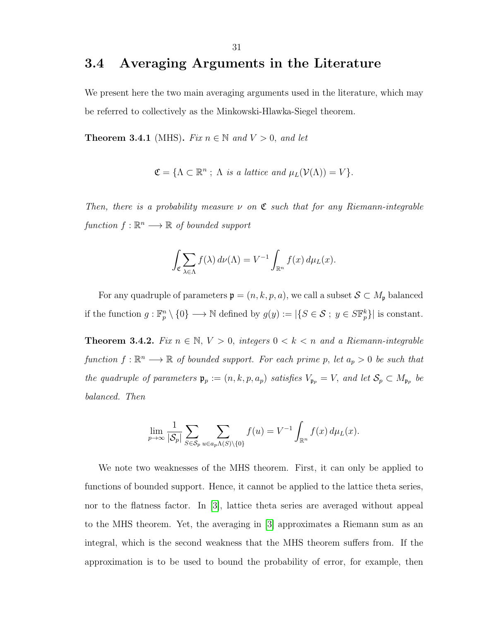#### <span id="page-30-0"></span>3.4 Averaging Arguments in the Literature

We present here the two main averaging arguments used in the literature, which may be referred to collectively as the Minkowski-Hlawka-Siegel theorem.

**Theorem 3.4.1** (MHS). Fix  $n \in \mathbb{N}$  and  $V > 0$ , and let

$$
\mathfrak{C} = \{ \Lambda \subset \mathbb{R}^n ; \Lambda \text{ is a lattice and } \mu_L(\mathcal{V}(\Lambda)) = V \}.
$$

Then, there is a probability measure  $\nu$  on  $\mathfrak C$  such that for any Riemann-integrable function  $f : \mathbb{R}^n \longrightarrow \mathbb{R}$  of bounded support

$$
\int_{\mathfrak{C}} \sum_{\lambda \in \Lambda} f(\lambda) d\nu(\Lambda) = V^{-1} \int_{\mathbb{R}^n} f(x) d\mu_L(x).
$$

For any quadruple of parameters  $\mathfrak{p} = (n, k, p, a)$ , we call a subset  $S \subset M_{\mathfrak{p}}$  balanced if the function  $g: \mathbb{F}_p^n \setminus \{0\} \longrightarrow \mathbb{N}$  defined by  $g(y) := |\{S \in \mathcal{S} \, ; \, y \in S\mathbb{F}_p^k\}|$  is constant.

Theorem 3.4.2. Fix  $n \in \mathbb{N}$ ,  $V > 0$ , integers  $0 < k < n$  and a Riemann-integrable function  $f: \mathbb{R}^n \longrightarrow \mathbb{R}$  of bounded support. For each prime p, let  $a_p > 0$  be such that the quadruple of parameters  $\mathfrak{p}_p := (n, k, p, a_p)$  satisfies  $V_{\mathfrak{p}_p} = V$ , and let  $\mathcal{S}_p \subset M_{\mathfrak{p}_p}$  be balanced. Then

$$
\lim_{p \to \infty} \frac{1}{|\mathcal{S}_p|} \sum_{S \in \mathcal{S}_p} \sum_{u \in a_p \Lambda(S) \setminus \{0\}} f(u) = V^{-1} \int_{\mathbb{R}^n} f(x) \, d\mu_L(x).
$$

We note two weaknesses of the MHS theorem. First, it can only be applied to functions of bounded support. Hence, it cannot be applied to the lattice theta series, nor to the flatness factor. In [\[3\]](#page-55-1), lattice theta series are averaged without appeal to the MHS theorem. Yet, the averaging in [\[3\]](#page-55-1) approximates a Riemann sum as an integral, which is the second weakness that the MHS theorem suffers from. If the approximation is to be used to bound the probability of error, for example, then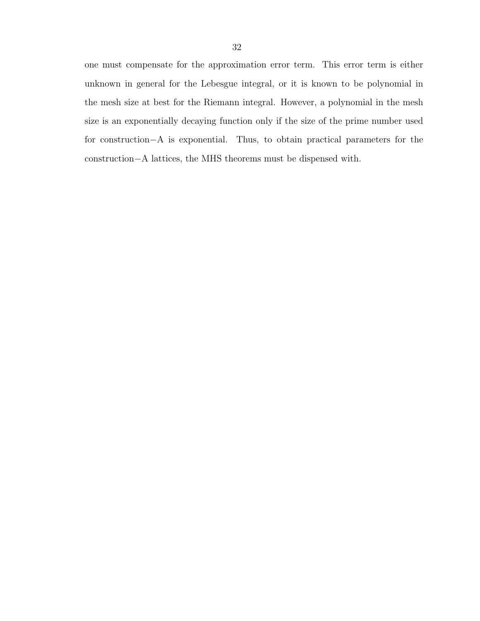one must compensate for the approximation error term. This error term is either unknown in general for the Lebesgue integral, or it is known to be polynomial in the mesh size at best for the Riemann integral. However, a polynomial in the mesh size is an exponentially decaying function only if the size of the prime number used for construction−A is exponential. Thus, to obtain practical parameters for the construction−A lattices, the MHS theorems must be dispensed with.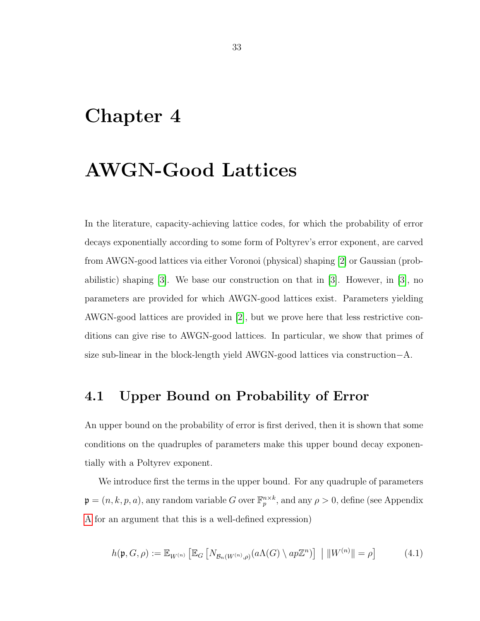### <span id="page-32-0"></span>Chapter 4

### AWGN-Good Lattices

In the literature, capacity-achieving lattice codes, for which the probability of error decays exponentially according to some form of Poltyrev's error exponent, are carved from AWGN-good lattices via either Voronoi (physical) shaping [\[2\]](#page-55-3) or Gaussian (probabilistic) shaping [\[3\]](#page-55-1). We base our construction on that in [\[3\]](#page-55-1). However, in [\[3\]](#page-55-1), no parameters are provided for which AWGN-good lattices exist. Parameters yielding AWGN-good lattices are provided in [\[2\]](#page-55-3), but we prove here that less restrictive conditions can give rise to AWGN-good lattices. In particular, we show that primes of size sub-linear in the block-length yield AWGN-good lattices via construction−A.

#### <span id="page-32-1"></span>4.1 Upper Bound on Probability of Error

An upper bound on the probability of error is first derived, then it is shown that some conditions on the quadruples of parameters make this upper bound decay exponentially with a Poltyrev exponent.

We introduce first the terms in the upper bound. For any quadruple of parameters  $\mathfrak{p} = (n, k, p, a)$ , any random variable G over  $\mathbb{F}_p^{n \times k}$ , and any  $\rho > 0$ , define (see Appendix [A](#page-56-0) for an argument that this is a well-defined expression)

<span id="page-32-2"></span>
$$
h(\mathfrak{p}, G, \rho) := \mathbb{E}_{W^{(n)}} \left[ \mathbb{E}_G \left[ N_{\mathcal{B}_n(W^{(n)}, \rho)}(a\Lambda(G) \setminus ap\mathbb{Z}^n) \right] \mid ||W^{(n)}|| = \rho \right] \tag{4.1}
$$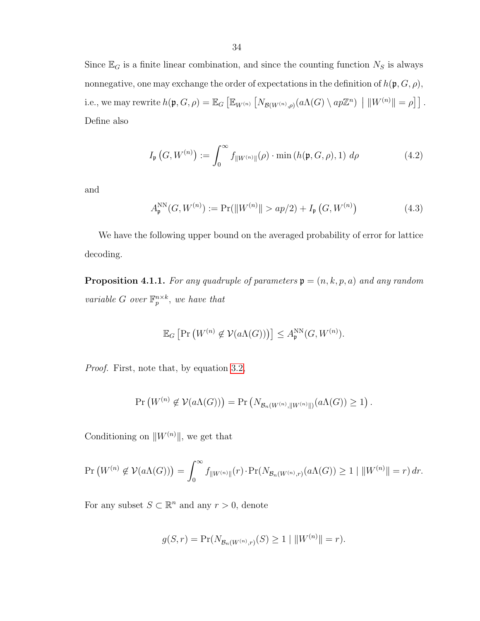Since  $\mathbb{E}_G$  is a finite linear combination, and since the counting function  $N_S$  is always nonnegative, one may exchange the order of expectations in the definition of  $h(\mathfrak{p}, G, \rho)$ , i.e., we may rewrite  $h(\mathfrak{p}, G, \rho) = \mathbb{E}_G \left[ \mathbb{E}_{W^{(n)}} \left[ N_{\mathcal{B}(W^{(n)}, \rho)}(a \Lambda(G) \setminus ap\mathbb{Z}^n) \middle| ||W^{(n)}|| = \rho \right] \right]$ . Define also

$$
I_{\mathfrak{p}}(G, W^{(n)}) := \int_0^\infty f_{\|W^{(n)}\|}(\rho) \cdot \min\left(h(\mathfrak{p}, G, \rho), 1\right) d\rho \tag{4.2}
$$

and

<span id="page-33-0"></span>
$$
A_{\mathfrak{p}}^{\text{NN}}(G, W^{(n)}) := \Pr(||W^{(n)}|| > ap/2) + I_{\mathfrak{p}}(G, W^{(n)})
$$
(4.3)

We have the following upper bound on the averaged probability of error for lattice decoding.

<span id="page-33-1"></span>**Proposition 4.1.1.** For any quadruple of parameters  $\mathfrak{p} = (n, k, p, a)$  and any random variable G over  $\mathbb{F}_p^{n \times k}$ , we have that

$$
\mathbb{E}_G\left[\Pr\left(W^{(n)}\not\in \mathcal{V}(a\Lambda(G))\right)\right] \leq A_{\mathfrak{p}}^{\text{NN}}(G, W^{(n)}).
$$

Proof. First, note that, by equation [3.2,](#page-27-2)

$$
\Pr\left(W^{(n)}\notin \mathcal{V}(a\Lambda(G))\right)=\Pr\left(N_{\mathcal{B}_n(W^{(n)},\|W^{(n)}\|)}(a\Lambda(G))\geq 1\right).
$$

Conditioning on  $\|W^{(n)}\|,$  we get that

$$
\Pr\left(W^{(n)} \notin \mathcal{V}(a\Lambda(G))\right) = \int_0^\infty f_{\|W^{(n)}\|}(r) \cdot \Pr(N_{\mathcal{B}_n(W^{(n)},r)}(a\Lambda(G)) \ge 1 \mid \|W^{(n)}\| = r) \, dr.
$$

For any subset  $S \subset \mathbb{R}^n$  and any  $r > 0$ , denote

$$
g(S,r) = \Pr(N_{\mathcal{B}_n(W^{(n)},r)}(S) \ge 1 \mid ||W^{(n)}|| = r).
$$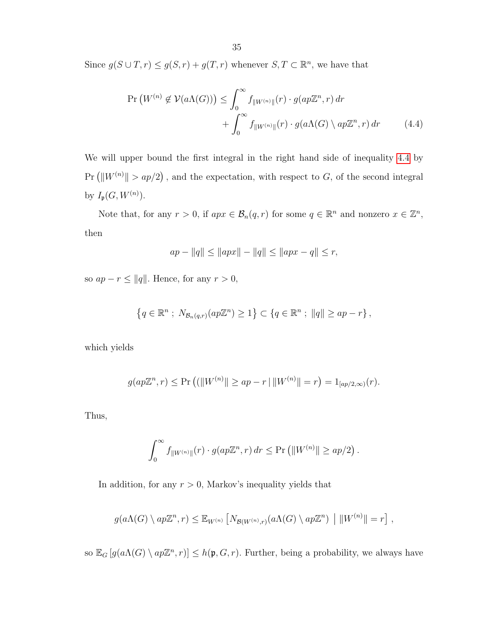Since  $g(S \cup T, r) \le g(S, r) + g(T, r)$  whenever  $S, T \subset \mathbb{R}^n$ , we have that

$$
\Pr\left(W^{(n)} \notin \mathcal{V}(a\Lambda(G))\right) \leq \int_0^\infty f_{\|W^{(n)}\|}(r) \cdot g(ap\mathbb{Z}^n, r) \, dr
$$

$$
+ \int_0^\infty f_{\|W^{(n)}\|}(r) \cdot g(a\Lambda(G) \setminus ap\mathbb{Z}^n, r) \, dr \tag{4.4}
$$

We will upper bound the first integral in the right hand side of inequality [4.4](#page-34-0) by  $Pr\left(\|W^{(n)}\| > ap/2\right)$ , and the expectation, with respect to G, of the second integral by  $I_{\mathfrak{p}}(G, W^{(n)})$ .

Note that, for any  $r > 0$ , if  $apx \in \mathcal{B}_n(q,r)$  for some  $q \in \mathbb{R}^n$  and nonzero  $x \in \mathbb{Z}^n$ , then

<span id="page-34-0"></span>
$$
ap - ||q|| \le ||apx|| - ||q|| \le ||apx - q|| \le r
$$
,

so  $ap - r \le ||q||$ . Hence, for any  $r > 0$ ,

$$
\left\{q \in \mathbb{R}^n \; ; \; N_{\mathcal{B}_n(q,r)}(ap\mathbb{Z}^n) \geq 1\right\} \subset \left\{q \in \mathbb{R}^n \; ; \; \|q\| \geq ap - r\right\},\,
$$

which yields

$$
g(ap\mathbb{Z}^n, r) \leq \Pr\left((\|W^{(n)}\| \geq ap - r \,|\, \|W^{(n)}\| = r\right) = 1_{[ap/2,\infty)}(r).
$$

Thus,

$$
\int_0^\infty f_{\|W^{(n)}\|}(r) \cdot g(ap\mathbb{Z}^n, r) dr \leq \Pr\left(\|W^{(n)}\| \geq ap/2\right).
$$

In addition, for any  $r > 0$ , Markov's inequality yields that

$$
g(a\Lambda(G) \setminus ap\mathbb{Z}^n, r) \leq \mathbb{E}_{W^{(n)}} \left[ N_{\mathcal{B}(W^{(n)},r)}(a\Lambda(G) \setminus ap\mathbb{Z}^n) \mid ||W^{(n)}|| = r \right],
$$

so  $\mathbb{E}_G[g(a\Lambda(G)\setminus ap\mathbb{Z}^n,r)] \leq h(\mathfrak{p},G,r)$ . Further, being a probability, we always have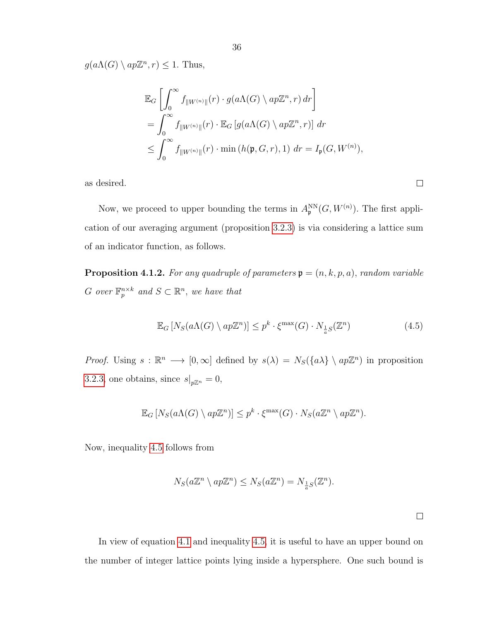$g(a\Lambda(G) \setminus ap\mathbb{Z}^n, r) \leq 1$ . Thus,

$$
\mathbb{E}_G \left[ \int_0^\infty f_{\|W^{(n)}\|}(r) \cdot g(a\Lambda(G) \setminus ap\mathbb{Z}^n, r) dr \right]
$$
  
= 
$$
\int_0^\infty f_{\|W^{(n)}\|}(r) \cdot \mathbb{E}_G \left[ g(a\Lambda(G) \setminus ap\mathbb{Z}^n, r) \right] dr
$$
  

$$
\leq \int_0^\infty f_{\|W^{(n)}\|}(r) \cdot \min\left( h(\mathfrak{p}, G, r), 1 \right) dr = I_{\mathfrak{p}}(G, W^{(n)}),
$$

as desired.

Now, we proceed to upper bounding the terms in  $A_{\mathfrak{p}}^{NN}(G, W^{(n)})$ . The first application of our averaging argument (proposition [3.2.3\)](#page-29-1) is via considering a lattice sum of an indicator function, as follows.

<span id="page-35-0"></span>**Proposition 4.1.2.** For any quadruple of parameters  $\mathbf{p} = (n, k, p, a)$ , random variable G over  $\mathbb{F}_p^{n \times k}$  and  $S \subset \mathbb{R}^n$ , we have that

<span id="page-35-1"></span>
$$
\mathbb{E}_G \left[ N_S(a\Lambda(G) \setminus ap\mathbb{Z}^n) \right] \le p^k \cdot \xi^{\max}(G) \cdot N_{\frac{1}{a}S}(\mathbb{Z}^n) \tag{4.5}
$$

*Proof.* Using  $s : \mathbb{R}^n \longrightarrow [0, \infty]$  defined by  $s(\lambda) = N_S(\lbrace a\lambda \rbrace \setminus ap\mathbb{Z}^n)$  in proposition [3.2.3,](#page-29-1) one obtains, since  $s|_{p\mathbb{Z}^n} = 0$ ,

$$
\mathbb{E}_G\left[N_S(a\Lambda(G)\setminus ap\mathbb{Z}^n)\right] \leq p^k \cdot \xi^{\max}(G) \cdot N_S(a\mathbb{Z}^n \setminus ap\mathbb{Z}^n).
$$

Now, inequality [4.5](#page-35-1) follows from

$$
N_S(a\mathbb{Z}^n\setminus ap\mathbb{Z}^n)\leq N_S(a\mathbb{Z}^n)=N_{\frac{1}{a}S}(\mathbb{Z}^n).
$$

 $\Box$ 

 $\Box$ 

In view of equation [4.1](#page-32-2) and inequality [4.5,](#page-35-1) it is useful to have an upper bound on the number of integer lattice points lying inside a hypersphere. One such bound is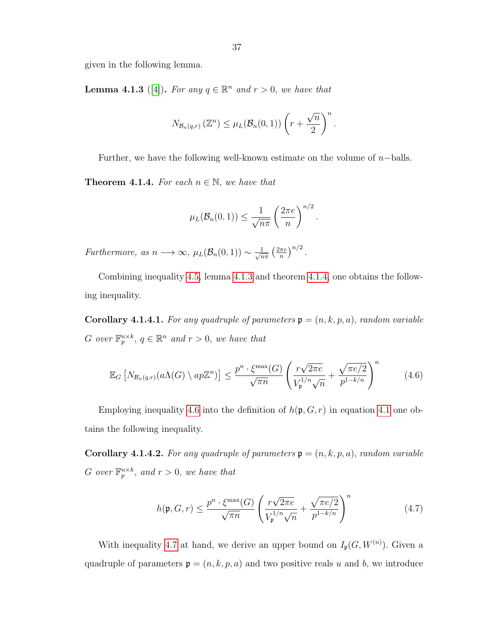given in the following lemma.

<span id="page-36-0"></span>**Lemma 4.1.3** ([\[4\]](#page-55-4)). For any  $q \in \mathbb{R}^n$  and  $r > 0$ , we have that

$$
N_{\mathcal{B}_n(q,r)}\left(\mathbb{Z}^n\right) \leq \mu_L(\mathcal{B}_n(0,1)) \left(r + \frac{\sqrt{n}}{2}\right)^n.
$$

Further, we have the following well-known estimate on the volume of  $n$ -balls.

<span id="page-36-1"></span>**Theorem 4.1.4.** For each  $n \in \mathbb{N}$ , we have that

<span id="page-36-2"></span>
$$
\mu_L(\mathcal{B}_n(0,1)) \leq \frac{1}{\sqrt{n\pi}} \left(\frac{2\pi e}{n}\right)^{n/2}.
$$

Furthermore, as  $n \longrightarrow \infty$ ,  $\mu_L(\mathcal{B}_n(0,1)) \sim \frac{1}{\sqrt{n}}$  $rac{1}{n\pi}\left(\frac{2\pi e}{n}\right)$  $\frac{\pi e}{n}\big)^{n/2}$ .

Combining inequality [4.5,](#page-35-1) lemma [4.1.3](#page-36-0) and theorem [4.1.4,](#page-36-1) one obtains the following inequality.

**Corollary 4.1.4.1.** For any quadruple of parameters  $\mathfrak{p} = (n, k, p, a)$ , random variable G over  $\mathbb{F}_p^{n \times k}$ ,  $q \in \mathbb{R}^n$  and  $r > 0$ , we have that

$$
\mathbb{E}_G \left[ N_{\mathcal{B}_n(q,r)}(a\Lambda(G) \setminus ap\mathbb{Z}^n) \right] \le \frac{p^n \cdot \xi^{\max}(G)}{\sqrt{\pi n}} \left( \frac{r\sqrt{2\pi e}}{V_{\mathfrak{p}}^{1/n} \sqrt{n}} + \frac{\sqrt{\pi e/2}}{p^{1-k/n}} \right)^n \tag{4.6}
$$

Employing inequality [4.6](#page-36-2) into the definition of  $h(\mathfrak{p}, G, r)$  in equation [4.1](#page-32-2) one obtains the following inequality.

**Corollary 4.1.4.2.** For any quadruple of parameters  $\mathfrak{p} = (n, k, p, a)$ , random variable G over  $\mathbb{F}_p^{n \times k}$ , and  $r > 0$ , we have that

<span id="page-36-3"></span>
$$
h(\mathfrak{p}, G, r) \le \frac{p^n \cdot \xi^{\max}(G)}{\sqrt{\pi n}} \left( \frac{r\sqrt{2\pi e}}{V_{\mathfrak{p}}^{1/n} \sqrt{n}} + \frac{\sqrt{\pi e/2}}{p^{1-k/n}} \right)^n \tag{4.7}
$$

With inequality [4.7](#page-36-3) at hand, we derive an upper bound on  $I_{\mathfrak{p}}(G, W^{(n)})$ . Given a quadruple of parameters  $\mathfrak{p} = (n, k, p, a)$  and two positive reals u and b, we introduce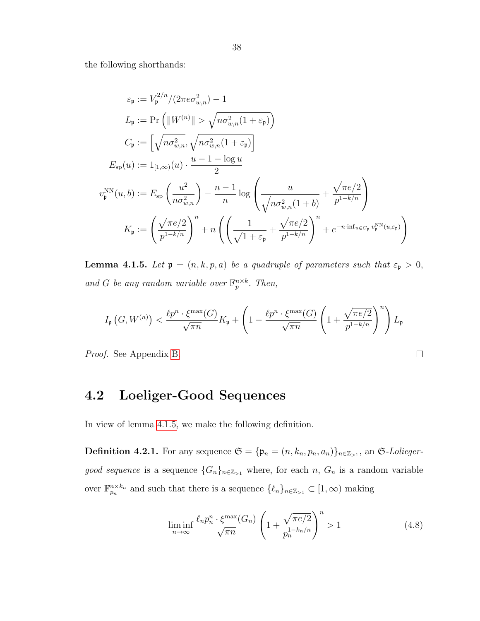the following shorthands:

$$
\varepsilon_{\mathfrak{p}} := V_{\mathfrak{p}}^{2/n} / (2 \pi e \sigma_{w,n}^2) - 1
$$
  
\n
$$
L_{\mathfrak{p}} := \Pr\left( \|W^{(n)}\| > \sqrt{n \sigma_{w,n}^2 (1 + \varepsilon_{\mathfrak{p}})} \right)
$$
  
\n
$$
C_{\mathfrak{p}} := \left[ \sqrt{n \sigma_{w,n}^2}, \sqrt{n \sigma_{w,n}^2 (1 + \varepsilon_{\mathfrak{p}})} \right]
$$
  
\n
$$
E_{\text{sp}}(u) := 1_{[1,\infty)}(u) \cdot \frac{u - 1 - \log u}{2}
$$
  
\n
$$
v_{\mathfrak{p}}^{\text{NN}}(u, b) := E_{\text{sp}}\left(\frac{u^2}{n \sigma_{w,n}^2}\right) - \frac{n - 1}{n} \log \left(\frac{u}{\sqrt{n \sigma_{w,n}^2 (1 + b)}} + \frac{\sqrt{\pi e/2}}{p^{1 - k/n}}\right)
$$
  
\n
$$
K_{\mathfrak{p}} := \left(\frac{\sqrt{\pi e/2}}{p^{1 - k/n}}\right)^n + n \left(\left(\frac{1}{\sqrt{1 + \varepsilon_{\mathfrak{p}}}} + \frac{\sqrt{\pi e/2}}{p^{1 - k/n}}\right)^n + e^{-n \cdot \inf_{u \in C_{\mathfrak{p}}} v_{\mathfrak{p}}^{\text{NN}}(u, \varepsilon_{\mathfrak{p}})}\right)
$$

<span id="page-37-1"></span>**Lemma 4.1.5.** Let  $\mathfrak{p} = (n, k, p, a)$  be a quadruple of parameters such that  $\varepsilon_{\mathfrak{p}} > 0$ , and G be any random variable over  $\mathbb{F}_p^{n \times k}$ . Then,

$$
I_{\mathfrak{p}}\left(G, W^{(n)}\right) < \frac{\ell p^n \cdot \xi^{\max}(G)}{\sqrt{\pi n}} K_{\mathfrak{p}} + \left(1 - \frac{\ell p^n \cdot \xi^{\max}(G)}{\sqrt{\pi n}} \left(1 + \frac{\sqrt{\pi e/2}}{p^{1-k/n}}\right)^n\right) L_{\mathfrak{p}}
$$

Proof. See Appendix [B.](#page-58-0)

### <span id="page-37-0"></span>4.2 Loeliger-Good Sequences

In view of lemma [4.1.5,](#page-37-1) we make the following definition.

**Definition 4.2.1.** For any sequence  $\mathfrak{S} = {\mathfrak{p}_n = (n, k_n, p_n, a_n)}_{n \in \mathbb{Z}_{>1}}$ , an  $\mathfrak{S}\text{-}Lolieger$ good sequence is a sequence  $\{G_n\}_{n\in\mathbb{Z}_{\geq 1}}$  where, for each n,  $G_n$  is a random variable over  $\mathbb{F}_{p_n}^{n \times k_n}$  and such that there is a sequence  $\{\ell_n\}_{n \in \mathbb{Z}_{>1}} \subset [1,\infty)$  making

$$
\liminf_{n \to \infty} \frac{\ell_n p_n^n \cdot \xi^{\max}(G_n)}{\sqrt{\pi n}} \left( 1 + \frac{\sqrt{\pi e/2}}{p_n^{1 - k_n/n}} \right)^n > 1 \tag{4.8}
$$

 $\Box$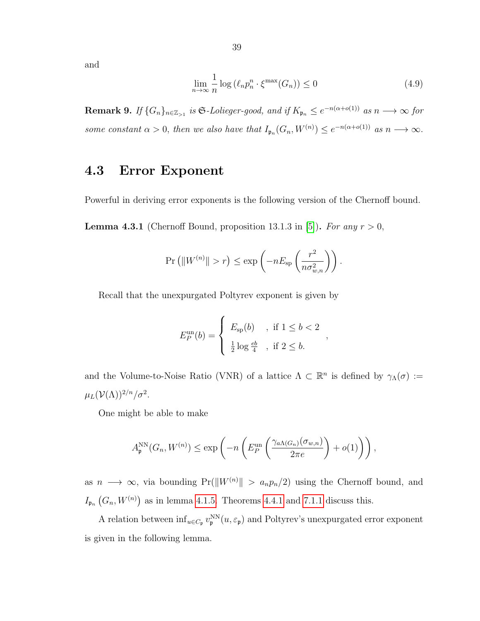and

$$
\lim_{n \to \infty} \frac{1}{n} \log \left( \ell_n p_n^n \cdot \xi^{\max}(G_n) \right) \le 0 \tag{4.9}
$$

,

**Remark 9.** If  $\{G_n\}_{n\in\mathbb{Z}_{>1}}$  is  $\mathfrak{S}\text{-}Lolieger\text{-}good$ , and if  $K_{\mathfrak{p}_n} \leq e^{-n(\alpha+o(1))}$  as  $n \longrightarrow \infty$  for some constant  $\alpha > 0$ , then we also have that  $I_{\mathfrak{p}_n}(G_n, W^{(n)}) \leq e^{-n(\alpha + o(1))}$  as  $n \longrightarrow \infty$ .

#### <span id="page-38-0"></span>4.3 Error Exponent

Powerful in deriving error exponents is the following version of the Chernoff bound.

<span id="page-38-1"></span>**Lemma 4.3.1** (Chernoff Bound, proposition 13.1.3 in [\[5\]](#page-55-5)). For any  $r > 0$ ,

$$
\Pr\left(\|W^{(n)}\| > r\right) \le \exp\left(-nE_{\text{sp}}\left(\frac{r^2}{n\sigma_{w,n}^2}\right)\right).
$$

Recall that the unexpurgated Poltyrev exponent is given by

$$
E_P^{\text{un}}(b) = \begin{cases} E_{\text{sp}}(b) & \text{if } 1 \le b < 2 \\ \frac{1}{2} \log \frac{eb}{4} & \text{if } 2 \le b. \end{cases}
$$

and the Volume-to-Noise Ratio (VNR) of a lattice  $\Lambda \subset \mathbb{R}^n$  is defined by  $\gamma_\Lambda(\sigma) :=$  $\mu_L({\cal V}(\Lambda))^{2/n}/\sigma^2.$ 

One might be able to make

$$
A_{\mathfrak{p}}^{\text{NN}}(G_n, W^{(n)}) \le \exp\left(-n \left(E_P^{\text{un}}\left(\frac{\gamma_{a\Lambda(G_n)}(\sigma_{w,n})}{2\pi e}\right) + o(1)\right)\right),
$$

as  $n \longrightarrow \infty$ , via bounding Pr( $||W^{(n)}|| > a_n p_n/2$ ) using the Chernoff bound, and  $I_{\mathfrak{p}_n}(G_n, W^{(n)})$  as in lemma [4.1.5.](#page-37-1) Theorems [4.4.1](#page-39-1) and [7.1.1](#page-50-2) discuss this.

A relation between  $\inf_{u \in C_p} v_p^{\text{NN}}(u, \varepsilon_p)$  and Poltyrev's unexpurgated error exponent is given in the following lemma.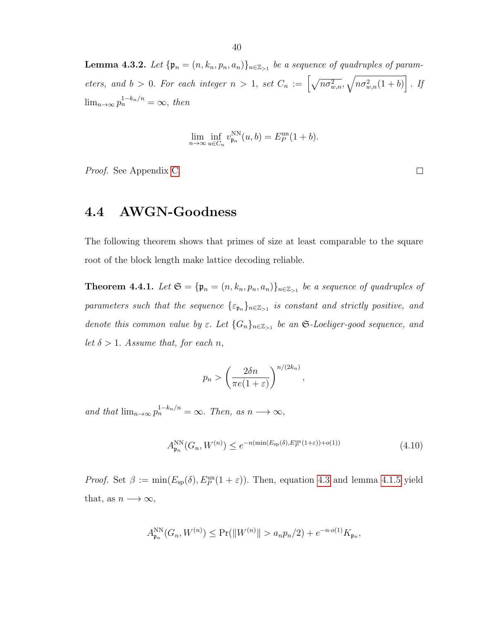<span id="page-39-2"></span>**Lemma 4.3.2.** Let  $\{\mathfrak{p}_n = (n, k_n, p_n, a_n)\}_{n \in \mathbb{Z}_{>1}}$  be a sequence of quadruples of parameters, and  $b > 0$ . For each integer  $n > 1$ , set  $C_n := \left[\sqrt{n\sigma_{w,n}^2}, \sqrt{n\sigma_{w,n}^2(1+b)}\right]$ . If  $\lim_{n\to\infty} p_n^{1-k_n/n} = \infty$ , then

$$
\lim_{n \to \infty} \inf_{u \in C_n} v_{\mathfrak{p}_n}^{\mathcal{N}}(u, b) = E_P^{\mathbf{un}}(1 + b).
$$

Proof. See Appendix [C.](#page-60-0)

#### <span id="page-39-0"></span>4.4 AWGN-Goodness

The following theorem shows that primes of size at least comparable to the square root of the block length make lattice decoding reliable.

<span id="page-39-1"></span>**Theorem 4.4.1.** Let  $\mathfrak{S} = {\mathfrak{p}_n = (n, k_n, p_n, a_n)}_{n \in \mathbb{Z}_{>1}}$  be a sequence of quadruples of parameters such that the sequence  $\{\varepsilon_{\mathfrak{p}_n}\}_{n\in\mathbb{Z}_{>1}}$  is constant and strictly positive, and denote this common value by  $\varepsilon$ . Let  $\{G_n\}_{n\in\mathbb{Z}_{>1}}$  be an  $\mathfrak{S}\text{-}Loeliger\text{-}good sequence, and$ let  $\delta > 1$ . Assume that, for each n,

$$
p_n > \left(\frac{2\delta n}{\pi e(1+\varepsilon)}\right)^{n/(2k_n)},
$$

and that  $\lim_{n\to\infty} p_n^{1-k_n/n} = \infty$ . Then, as  $n \longrightarrow \infty$ ,

<span id="page-39-3"></span>
$$
A_{\mathfrak{p}_n}^{\rm NN}(G_n, W^{(n)}) \le e^{-n(\min(E_{\rm sp}(\delta), E_P^{\rm un}(1+\varepsilon)) + o(1))} \tag{4.10}
$$

*Proof.* Set  $\beta := \min(E_{sp}(\delta), E_P^{\text{un}}(1+\varepsilon))$ . Then, equation [4.3](#page-33-0) and lemma [4.1.5](#page-37-1) yield that, as  $n \longrightarrow \infty$ ,

$$
A_{\mathfrak{p}_n}^{\rm NN}(G_n, W^{(n)}) \leq \Pr(||W^{(n)}|| > a_n p_n/2) + e^{-n \cdot o(1)} K_{\mathfrak{p}_n},
$$

 $\Box$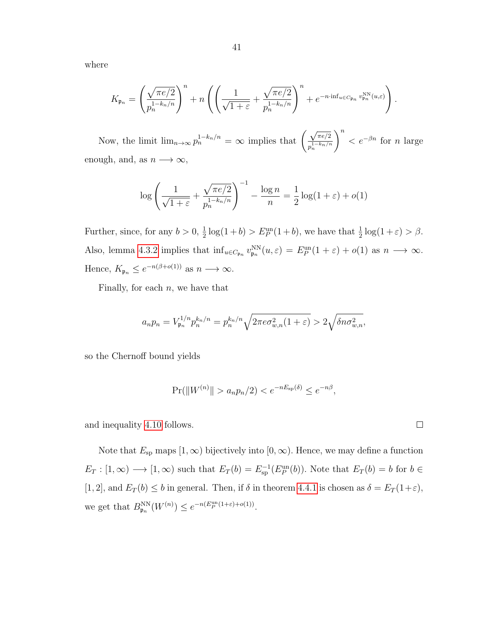where

$$
K_{\mathfrak{p}_n} = \left(\frac{\sqrt{\pi e/2}}{p_n^{1-k_n/n}}\right)^n + n \left(\left(\frac{1}{\sqrt{1+\varepsilon}} + \frac{\sqrt{\pi e/2}}{p_n^{1-k_n/n}}\right)^n + e^{-n \cdot \inf_{u \in C_{\mathfrak{p}_n}} v_{\mathfrak{p}_n}^{\text{NN}}(u,\varepsilon)}\right).
$$

Now, the limit  $\lim_{n\to\infty} p_n^{1-k_n/n} = \infty$  implies that  $\left(\frac{\sqrt{n}}{n}\right)^{1-k_n/n}$  $\pi e/2$  $p_n^{1-k_n/n}$  $\setminus^n$  $\langle e^{-\beta n} \rangle$  for n large enough, and, as  $n \longrightarrow \infty$ ,

$$
\log\left(\frac{1}{\sqrt{1+\varepsilon}} + \frac{\sqrt{\pi e/2}}{p_n^{1-k_n/n}}\right)^{-1} - \frac{\log n}{n} = \frac{1}{2}\log(1+\varepsilon) + o(1)
$$

Further, since, for any  $b > 0, \frac{1}{2}$  $\frac{1}{2}\log(1+b) > E_P^{\text{un}}(1+b)$ , we have that  $\frac{1}{2}\log(1+\varepsilon) > \beta$ . Also, lemma [4.3.2](#page-39-2) implies that  $\inf_{u \in C_{\mathfrak{p}_n}} v_{\mathfrak{p}_n}^{NN}(u,\varepsilon) = E_P^{\text{un}}(1+\varepsilon) + o(1)$  as  $n \longrightarrow \infty$ . Hence,  $K_{\mathfrak{p}_n} \leq e^{-n(\beta + o(1))}$  as  $n \longrightarrow \infty$ .

Finally, for each  $n$ , we have that

$$
a_np_n = V_{\mathfrak{p}_n}^{1/n} p_n^{k_n/n} = p_n^{k_n/n} \sqrt{2\pi e \sigma_{w,n}^2(1+\varepsilon)} > 2\sqrt{\delta n \sigma_{w,n}^2},
$$

so the Chernoff bound yields

$$
Pr(||W^{(n)}|| > a_n p_n/2) < e^{-nE_{sp}(\delta)} \le e^{-n\beta},
$$

and inequality [4.10](#page-39-3) follows.

Note that  $E_{sp}$  maps  $[1, \infty)$  bijectively into  $[0, \infty)$ . Hence, we may define a function  $E_T : [1, \infty) \longrightarrow [1, \infty)$  such that  $E_T(b) = E_{\text{sp}}^{-1}(E_P^{\text{un}}(b))$ . Note that  $E_T(b) = b$  for  $b \in$ [1, 2], and  $E_T(b) \le b$  in general. Then, if  $\delta$  in theorem [4.4.1](#page-39-1) is chosen as  $\delta = E_T(1+\varepsilon)$ , we get that  $B_{\mathfrak{p}_n}^{\text{NN}}(W^{(n)}) \leq e^{-n(E_P^{\text{un}}(1+\varepsilon)+o(1))}$ .

 $\Box$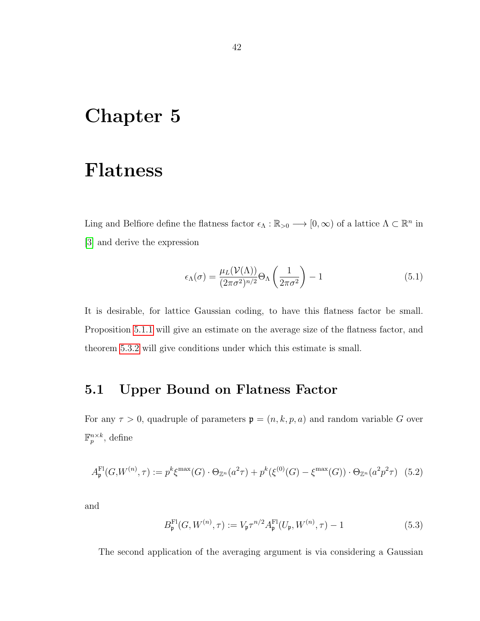### <span id="page-41-0"></span>Chapter 5

### Flatness

Ling and Belfiore define the flatness factor  $\epsilon_{\Lambda}: \mathbb{R}_{>0} \longrightarrow [0, \infty)$  of a lattice  $\Lambda \subset \mathbb{R}^n$  in [\[3\]](#page-55-1) and derive the expression

<span id="page-41-2"></span>
$$
\epsilon_{\Lambda}(\sigma) = \frac{\mu_L(\mathcal{V}(\Lambda))}{(2\pi\sigma^2)^{n/2}} \Theta_{\Lambda} \left(\frac{1}{2\pi\sigma^2}\right) - 1 \tag{5.1}
$$

It is desirable, for lattice Gaussian coding, to have this flatness factor be small. Proposition [5.1.1](#page-42-1) will give an estimate on the average size of the flatness factor, and theorem [5.3.2](#page-44-0) will give conditions under which this estimate is small.

### <span id="page-41-1"></span>5.1 Upper Bound on Flatness Factor

For any  $\tau > 0$ , quadruple of parameters  $\mathfrak{p} = (n, k, p, a)$  and random variable G over  $\mathbb{F}_p^{n\times k}$ , define

$$
A_{\mathfrak{p}}^{\mathrm{Fl}}(G, W^{(n)}, \tau) := p^{k} \xi^{\max}(G) \cdot \Theta_{\mathbb{Z}^{n}}(a^{2} \tau) + p^{k} (\xi^{(0)}(G) - \xi^{\max}(G)) \cdot \Theta_{\mathbb{Z}^{n}}(a^{2} p^{2} \tau) \tag{5.2}
$$

and

<span id="page-41-3"></span>
$$
B_{\mathfrak{p}}^{\mathrm{Fl}}(G, W^{(n)}, \tau) := V_{\mathfrak{p}} \tau^{n/2} A_{\mathfrak{p}}^{\mathrm{Fl}}(U_{\mathfrak{p}}, W^{(n)}, \tau) - 1 \tag{5.3}
$$

The second application of the averaging argument is via considering a Gaussian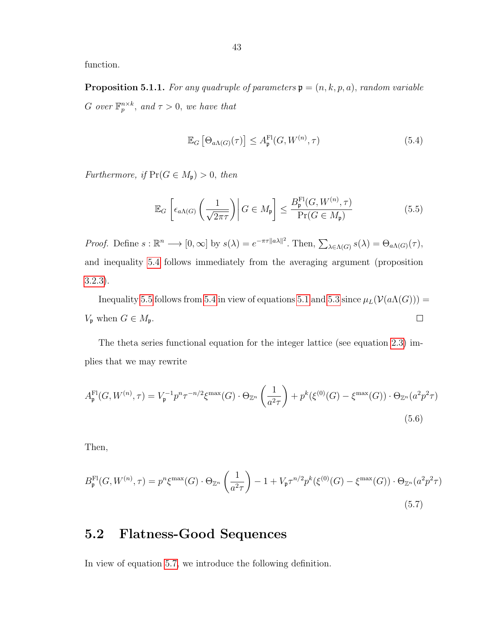<span id="page-42-1"></span>function.

**Proposition 5.1.1.** For any quadruple of parameters  $\mathbf{p} = (n, k, p, a)$ , random variable G over  $\mathbb{F}_p^{n \times k}$ , and  $\tau > 0$ , we have that

<span id="page-42-2"></span>
$$
\mathbb{E}_G\left[\Theta_{a\Lambda(G)}(\tau)\right] \le A_{\mathfrak{p}}^{\mathrm{Fl}}(G, W^{(n)}, \tau) \tag{5.4}
$$

Furthermore, if  $Pr(G \in M_{\mathfrak{p}}) > 0$ , then

<span id="page-42-3"></span>
$$
\mathbb{E}_G \left[ \epsilon_{a\Lambda(G)} \left( \frac{1}{\sqrt{2\pi\tau}} \right) \middle| G \in M_{\mathfrak{p}} \right] \le \frac{B_{\mathfrak{p}}^{\mathrm{Fl}}(G, W^{(n)}, \tau)}{\mathrm{Pr}(G \in M_{\mathfrak{p}})} \tag{5.5}
$$

*Proof.* Define  $s : \mathbb{R}^n \longrightarrow [0, \infty]$  by  $s(\lambda) = e^{-\pi \tau ||a\lambda||^2}$ . Then,  $\sum_{\lambda \in \Lambda(G)} s(\lambda) = \Theta_{a\Lambda(G)}(\tau)$ , and inequality [5.4](#page-42-2) follows immediately from the averaging argument (proposition [3.2.3\)](#page-29-1).

Inequality [5.5](#page-42-3) follows from [5.4](#page-42-2) in view of equations [5.1](#page-41-2) and [5.3](#page-41-3) since  $\mu_L(\mathcal{V}(a\Lambda(G)))$  =  $V_{\mathfrak{p}}$  when  $G \in M_{\mathfrak{p}}$ .  $\Box$ 

The theta series functional equation for the integer lattice (see equation [2.3\)](#page-18-1) implies that we may rewrite

$$
A_{\mathfrak{p}}^{\mathrm{Fl}}(G, W^{(n)}, \tau) = V_{\mathfrak{p}}^{-1} p^n \tau^{-n/2} \xi^{\max}(G) \cdot \Theta_{\mathbb{Z}^n} \left(\frac{1}{a^2 \tau}\right) + p^k(\xi^{(0)}(G) - \xi^{\max}(G)) \cdot \Theta_{\mathbb{Z}^n}(a^2 p^2 \tau)
$$
\n(5.6)

Then,

<span id="page-42-4"></span>
$$
B_{\mathfrak{p}}^{\mathrm{Fl}}(G, W^{(n)}, \tau) = p^n \xi^{\max}(G) \cdot \Theta_{\mathbb{Z}^n} \left(\frac{1}{a^2 \tau}\right) - 1 + V_{\mathfrak{p}} \tau^{n/2} p^k(\xi^{(0)}(G) - \xi^{\max}(G)) \cdot \Theta_{\mathbb{Z}^n}(a^2 p^2 \tau)
$$
\n(5.7)

#### <span id="page-42-0"></span>5.2 Flatness-Good Sequences

In view of equation [5.7,](#page-42-4) we introduce the following definition.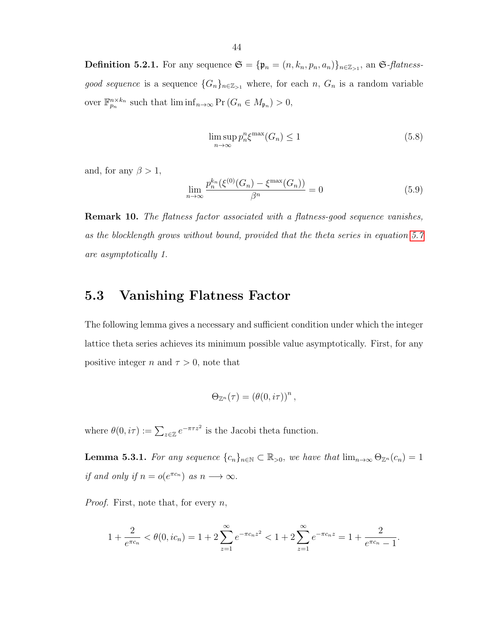**Definition 5.2.1.** For any sequence  $\mathfrak{S} = {\mathfrak{p}_n = (n, k_n, p_n, a_n)}_{n \in \mathbb{Z}_{>1}}$ , an  $\mathfrak{S}\text{-}flatness$ good sequence is a sequence  $\{G_n\}_{n\in\mathbb{Z}_{>1}}$  where, for each n,  $G_n$  is a random variable over  $\mathbb{F}_{p_n}^{n \times k_n}$  such that  $\liminf_{n \to \infty} \Pr(G_n \in M_{\mathfrak{p}_n}) > 0$ ,

<span id="page-43-2"></span>
$$
\limsup_{n \to \infty} p_n^n \xi^{\max}(G_n) \le 1
$$
\n(5.8)

and, for any  $\beta > 1$ ,

<span id="page-43-3"></span>
$$
\lim_{n \to \infty} \frac{p_n^{k_n}(\xi^{(0)}(G_n) - \xi^{\max}(G_n))}{\beta^n} = 0
$$
\n(5.9)

Remark 10. The flatness factor associated with a flatness-good sequence vanishes, as the blocklength grows without bound, provided that the theta series in equation [5.7](#page-42-4) are asymptotically 1.

#### <span id="page-43-0"></span>5.3 Vanishing Flatness Factor

The following lemma gives a necessary and sufficient condition under which the integer lattice theta series achieves its minimum possible value asymptotically. First, for any positive integer n and  $\tau > 0$ , note that

$$
\Theta_{\mathbb{Z}^n}(\tau) = \left(\theta(0, i\tau)\right)^n,
$$

where  $\theta(0, i\tau) := \sum_{z \in \mathbb{Z}} e^{-\pi \tau z^2}$  is the Jacobi theta function.

<span id="page-43-1"></span>**Lemma 5.3.1.** For any sequence  $\{c_n\}_{n\in\mathbb{N}} \subset \mathbb{R}_{>0}$ , we have that  $\lim_{n\to\infty} \Theta_{\mathbb{Z}^n}(c_n) = 1$ if and only if  $n = o(e^{\pi c_n})$  as  $n \longrightarrow \infty$ .

*Proof.* First, note that, for every  $n$ ,

$$
1 + \frac{2}{e^{\pi c_n}} < \theta(0, ic_n) = 1 + 2 \sum_{z=1}^{\infty} e^{-\pi c_n z^2} < 1 + 2 \sum_{z=1}^{\infty} e^{-\pi c_n z} = 1 + \frac{2}{e^{\pi c_n} - 1}.
$$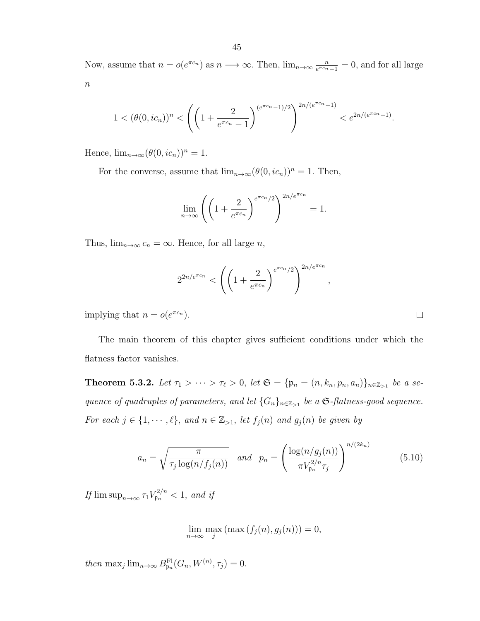Now, assume that  $n = o(e^{\pi c_n})$  as  $n \longrightarrow \infty$ . Then,  $\lim_{n \to \infty} \frac{n}{e^{\pi c_n}}$  $\frac{n}{e^{\pi c_n}-1} = 0$ , and for all large  $\boldsymbol{n}$ 

$$
1 < (\theta(0, ic_n))^n < \left( \left( 1 + \frac{2}{e^{\pi c_n} - 1} \right)^{(e^{\pi c_n} - 1)/2} \right)^{2n/(e^{\pi c_n} - 1)} < e^{2n/(e^{\pi c_n} - 1)}.
$$

Hence,  $\lim_{n\to\infty} (\theta(0, ic_n))^n = 1$ .

For the converse, assume that  $\lim_{n\to\infty} (\theta(0, ic_n))^n = 1$ . Then,

$$
\lim_{n \to \infty} \left( \left( 1 + \frac{2}{e^{\pi c_n}} \right)^{e^{\pi c_n}/2} \right)^{2n/e^{\pi c_n}} = 1.
$$

Thus,  $\lim_{n\to\infty} c_n = \infty$ . Hence, for all large *n*,

$$
2^{2n/e^{\pi c_n}} < \left( \left( 1 + \frac{2}{e^{\pi c_n}} \right)^{e^{\pi c_n}/2} \right)^{2n/e^{\pi c_n}}
$$

,

implying that  $n = o(e^{\pi c_n})$ .

The main theorem of this chapter gives sufficient conditions under which the flatness factor vanishes.

<span id="page-44-0"></span>**Theorem 5.3.2.** Let  $\tau_1 > \cdots > \tau_{\ell} > 0$ , let  $\mathfrak{S} = {\mathfrak{p}_n = (n, k_n, p_n, a_n)}_{n \in \mathbb{Z}_{>1}}$  be a sequence of quadruples of parameters, and let  $\{G_n\}_{n\in\mathbb{Z}_{>1}}$  be a  $\mathfrak{S}\text{-flatness-good sequence.}$ For each  $j \in \{1, \dots, \ell\}$ , and  $n \in \mathbb{Z}_{>1}$ , let  $f_j(n)$  and  $g_j(n)$  be given by

<span id="page-44-1"></span>
$$
a_n = \sqrt{\frac{\pi}{\tau_j \log(n/f_j(n))}} \quad \text{and} \quad p_n = \left(\frac{\log(n/g_j(n))}{\pi V_{p_n}^{2/n} \tau_j}\right)^{n/(2k_n)} \tag{5.10}
$$

If  $\limsup_{n\to\infty} \tau_1 V_{\mathfrak{p}_n}^{2/n} < 1$ , and if

 $\lim_{n\to\infty} \max_j \left( \max(f_j(n), g_j(n)) \right) = 0,$ 

then  $\max_j \lim_{n \to \infty} B_{\mathfrak{p}_n}^{\mathbb{F}1}(G_n, W^{(n)}, \tau_j) = 0.$ 

 $\Box$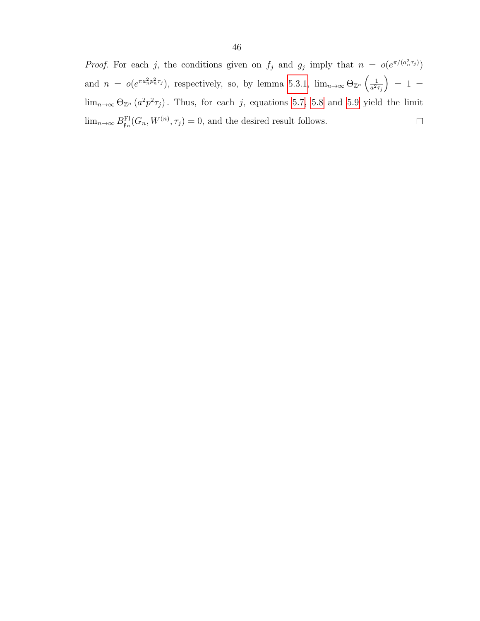*Proof.* For each j, the conditions given on  $f_j$  and  $g_j$  imply that  $n = o(e^{\pi/(a_n^2 \tau_j)})$ and  $n = o(e^{\pi a_n^2 p_n^2 \tau_j})$ , respectively, so, by lemma [5.3.1,](#page-43-1)  $\lim_{n\to\infty} \Theta_{\mathbb{Z}^n} \left( \frac{1}{a^2} \right)$  $= 1 =$  $a^2\tau_j$  $\lim_{n\to\infty} \Theta_{\mathbb{Z}^n} (a^2 p^2 \tau_j)$ . Thus, for each j, equations [5.7,](#page-42-4) [5.8](#page-43-2) and [5.9](#page-43-3) yield the limit  $\lim_{n\to\infty} B_{\mathfrak{p}_n}^{\mathrm{Fl}}(G_n, W^{(n)}, \tau_j) = 0$ , and the desired result follows.  $\Box$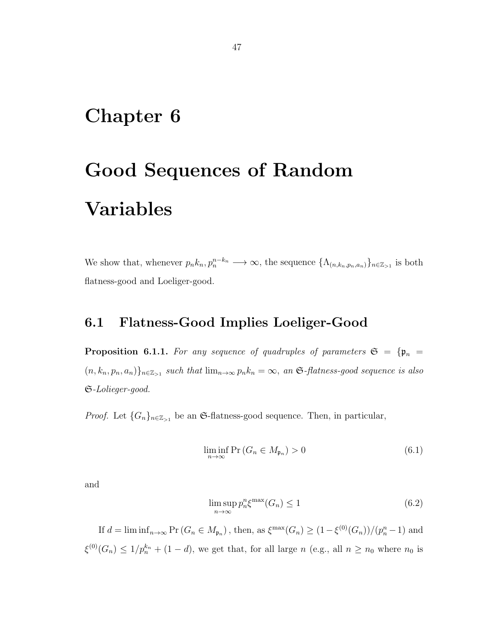### <span id="page-46-0"></span>Chapter 6

# Good Sequences of Random Variables

We show that, whenever  $p_n k_n, p_n^{n-k_n} \longrightarrow \infty$ , the sequence  $\{\Lambda_{(n,k_n,p_n,a_n)}\}_{n \in \mathbb{Z}_{>1}}$  is both flatness-good and Loeliger-good.

### <span id="page-46-1"></span>6.1 Flatness-Good Implies Loeliger-Good

**Proposition 6.1.1.** For any sequence of quadruples of parameters  $\mathfrak{S} = {\mathfrak{p}_n =$  $(n, k_n, p_n, a_n)$ <sub>n∈ $\mathbb{Z}_{\geq 1}$  such that  $\lim_{n\to\infty} p_n k_n = \infty$ , an G-flatness-good sequence is also</sub> S-Lolieger-good.

*Proof.* Let  $\{G_n\}_{n\in\mathbb{Z}_{>1}}$  be an G-flatness-good sequence. Then, in particular,

$$
\liminf_{n \to \infty} \Pr\left(G_n \in M_{\mathfrak{p}_n}\right) > 0 \tag{6.1}
$$

and

<span id="page-46-2"></span>
$$
\limsup_{n \to \infty} p_n^n \xi^{\max}(G_n) \le 1 \tag{6.2}
$$

If  $d = \liminf_{n \to \infty} Pr(G_n \in M_{\mathfrak{p}_n})$ , then, as  $\xi^{\max}(G_n) \geq (1 - \xi^{(0)}(G_n))/(p_n^n - 1)$  and  $\xi^{(0)}(G_n) \leq 1/p_n^{k_n} + (1-d)$ , we get that, for all large n (e.g., all  $n \geq n_0$  where  $n_0$  is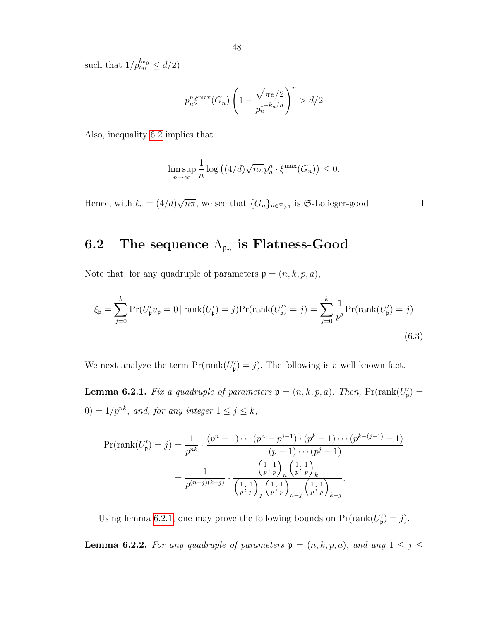such that  $1/p_{n_0}^{k_{n_0}} \leq d/2$ 

$$
p_n^n \xi^{\max}(G_n) \left(1 + \frac{\sqrt{\pi e/2}}{p_n^{1-k_n/n}}\right)^n > d/2
$$

Also, inequality [6.2](#page-46-2) implies that

<span id="page-47-2"></span>
$$
\limsup_{n \to \infty} \frac{1}{n} \log \left( (4/d) \sqrt{n\pi} p_n^n \cdot \xi^{\max}(G_n) \right) \le 0.
$$

√ Hence, with  $\ell_n = (4/d)$  $\overline{n\pi}$ , we see that  $\{G_n\}_{n\in\mathbb{Z}_{>1}}$  is G-Lolieger-good.  $\Box$ 

### <span id="page-47-0"></span>6.2 The sequence  $\Lambda_{\mathfrak{p}_n}$  is Flatness-Good

Note that, for any quadruple of parameters  $\mathfrak{p} = (n, k, p, a)$ ,

$$
\xi_{\mathfrak{p}} = \sum_{j=0}^{k} \Pr(U_{\mathfrak{p}}' u_{\mathfrak{p}} = 0 \mid \text{rank}(U_{\mathfrak{p}}') = j) \Pr(\text{rank}(U_{\mathfrak{p}}') = j) = \sum_{j=0}^{k} \frac{1}{p^{j}} \Pr(\text{rank}(U_{\mathfrak{p}}') = j)
$$
\n(6.3)

We next analyze the term  $Pr(\text{rank}(U'_{\mathfrak{p}}) = j)$ . The following is a well-known fact.

<span id="page-47-1"></span>**Lemma 6.2.1.** Fix a quadruple of parameters  $\mathbf{p} = (n, k, p, a)$ . Then,  $Pr(rank(U_p) =$  $(0) = 1/p^{nk}$ , and, for any integer  $1 \leq j \leq k$ ,

$$
\Pr(\text{rank}(U'_{\mathfrak{p}}) = j) = \frac{1}{p^{nk}} \cdot \frac{(p^n - 1) \cdots (p^n - p^{j-1}) \cdot (p^k - 1) \cdots (p^{k-(j-1)} - 1)}{(p-1) \cdots (p^j - 1)}
$$

$$
= \frac{1}{p^{(n-j)(k-j)}} \cdot \frac{\left(\frac{1}{p}; \frac{1}{p}\right)_n \left(\frac{1}{p}; \frac{1}{p}\right)_k}{\left(\frac{1}{p}; \frac{1}{p}\right)_j \left(\frac{1}{p}; \frac{1}{p}\right)_{n-j}}.
$$

Using lemma [6.2.1,](#page-47-1) one may prove the following bounds on  $Pr(rank(U_p) = j)$ .

<span id="page-47-3"></span>**Lemma 6.2.2.** For any quadruple of parameters  $\mathfrak{p} = (n, k, p, a)$ , and any  $1 \leq j \leq$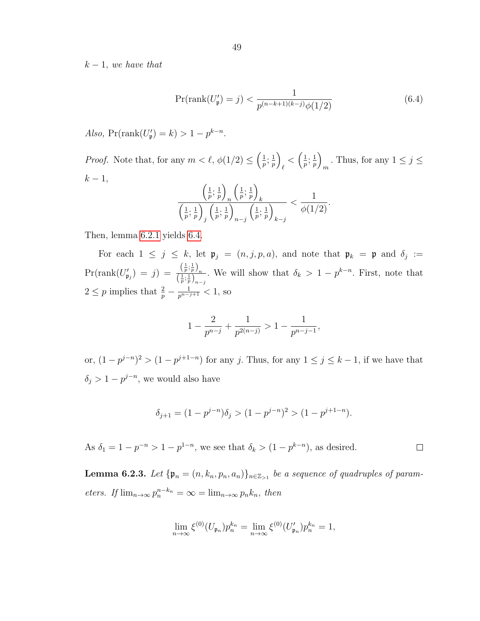$k-1$ , we have that

<span id="page-48-0"></span>
$$
\Pr(\text{rank}(U'_{\mathfrak{p}}) = j) < \frac{1}{p^{(n-k+1)(k-j)}\phi(1/2)}\tag{6.4}
$$

Also,  $Pr(\text{rank}(U'_{p}) = k) > 1 - p^{k-n}$ .

*Proof.* Note that, for any  $m < \ell$ ,  $\phi(1/2) \leq \left(\frac{1}{n}\right)$  $\frac{1}{p},\frac{1}{p}$  $\frac{1}{p}$  $\frac{1}{\ell} < \left(\frac{1}{p}\right)$  $\frac{1}{p},\frac{1}{p}$  $\frac{1}{p}\bigg)$ . Thus, for any  $1 \leq j \leq m$  $k-1,$ 

$$
\frac{\left(\frac{1}{p},\frac{1}{p}\right)_n \left(\frac{1}{p},\frac{1}{p}\right)_k}{\left(\frac{1}{p},\frac{1}{p}\right)_j \left(\frac{1}{p},\frac{1}{p}\right)_{n-j} \left(\frac{1}{p},\frac{1}{p}\right)_{k-j}} < \frac{1}{\phi(1/2)}.
$$

Then, lemma [6.2.1](#page-47-1) yields [6.4.](#page-48-0)

For each  $1 \leq j \leq k$ , let  $\mathfrak{p}_j = (n, j, p, a)$ , and note that  $\mathfrak{p}_k = \mathfrak{p}$  and  $\delta_j :=$  $\Pr(\text{rank}(U'_{\mathfrak{p}_j}) = j) = \frac{\left(\frac{1}{p};\frac{1}{p}\right)_n}{\left(\frac{1}{p};\frac{1}{p}\right)_{n-j}}$ . We will show that  $\delta_k > 1 - p^{k-n}$ . First, note that  $2 \leq p$  implies that  $\frac{2}{p} - \frac{1}{p^{n-j+1}} < 1$ , so

$$
1 - \frac{2}{p^{n-j}} + \frac{1}{p^{2(n-j)}} > 1 - \frac{1}{p^{n-j-1}},
$$

or,  $(1-p^{j-n})^2 > (1-p^{j+1-n})$  for any j. Thus, for any  $1 \le j \le k-1$ , if we have that  $\delta_j > 1 - p^{j-n}$ , we would also have

$$
\delta_{j+1} = (1 - p^{j-n})\delta_j > (1 - p^{j-n})^2 > (1 - p^{j+1-n}).
$$

As  $\delta_1 = 1 - p^{-n} > 1 - p^{1-n}$ , we see that  $\delta_k > (1 - p^{k-n})$ , as desired.  $\Box$ 

**Lemma 6.2.3.** Let  $\{\mathfrak{p}_n = (n, k_n, p_n, a_n)\}_{n \in \mathbb{Z}_{>1}}$  be a sequence of quadruples of param*eters.* If  $\lim_{n\to\infty} p_n^{n-k_n} = \infty = \lim_{n\to\infty} p_n k_n$ , then

$$
\lim_{n \to \infty} \xi^{(0)}(U_{\mathfrak{p}_n}) p_n^{k_n} = \lim_{n \to \infty} \xi^{(0)}(U'_{\mathfrak{p}_n}) p_n^{k_n} = 1,
$$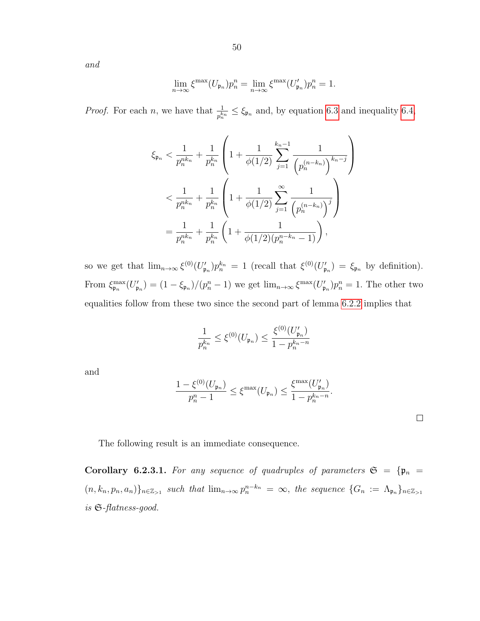and

$$
\lim_{n \to \infty} \xi^{\max}(U_{\mathfrak{p}_n}) p_n^n = \lim_{n \to \infty} \xi^{\max}(U'_{\mathfrak{p}_n}) p_n^n = 1.
$$

*Proof.* For each *n*, we have that  $\frac{1}{p_n^{k_n}} \leq \xi_{\mathfrak{p}_n}$  and, by equation [6.3](#page-47-2) and inequality [6.4,](#page-48-0)

$$
\xi_{\mathfrak{p}_n} < \frac{1}{p_n^{nk_n}} + \frac{1}{p_n^{k_n}} \left( 1 + \frac{1}{\phi(1/2)} \sum_{j=1}^{k_n-1} \frac{1}{\left( p_n^{(n-k_n)} \right)^{k_n-j}} \right) \\
&< \frac{1}{p_n^{nk_n}} + \frac{1}{p_n^{k_n}} \left( 1 + \frac{1}{\phi(1/2)} \sum_{j=1}^{\infty} \frac{1}{\left( p_n^{(n-k_n)} \right)^j} \right) \\
&= \frac{1}{p_n^{nk_n}} + \frac{1}{p_n^{k_n}} \left( 1 + \frac{1}{\phi(1/2)(p_n^{n-k_n} - 1)} \right),
$$

so we get that  $\lim_{n\to\infty} \xi^{(0)}(U'_{\mathfrak{p}_n})p_n^{k_n} = 1$  (recall that  $\xi^{(0)}(U'_{\mathfrak{p}_n}) = \xi_{\mathfrak{p}_n}$  by definition). From  $\xi_{\mathfrak{p}_n}^{\max}(U'_{\mathfrak{p}_n}) = (1 - \xi_{\mathfrak{p}_n})/(p_n^n - 1)$  we get  $\lim_{n \to \infty} \xi^{\max}(U'_{\mathfrak{p}_n}) p_n^n = 1$ . The other two equalities follow from these two since the second part of lemma [6.2.2](#page-47-3) implies that

$$
\frac{1}{p_n^{k_n}} \leq \xi^{(0)}(U_{\mathfrak{p}_n}) \leq \frac{\xi^{(0)}(U'_{\mathfrak{p}_n})}{1-p_n^{k_n-n}}
$$

and

$$
\frac{1 - \xi^{(0)}(U_{\mathfrak{p}_n})}{p_n^n - 1} \le \xi^{\max}(U_{\mathfrak{p}_n}) \le \frac{\xi^{\max}(U'_{\mathfrak{p}_n})}{1 - p_n^{k_n - n}}.
$$

The following result is an immediate consequence.

Corollary 6.2.3.1. For any sequence of quadruples of parameters  $\mathfrak{S} = {\mathfrak{p}_n} =$  $(n, k_n, p_n, a_n)$ <sub>n∈Z>1</sub> such that  $\lim_{n\to\infty} p_n^{n-k_n} = \infty$ , the sequence  $\{G_n := \Lambda_{\mathfrak{p}_n}\}_{n\in\mathbb{Z}_{>1}}$ is S-flatness-good.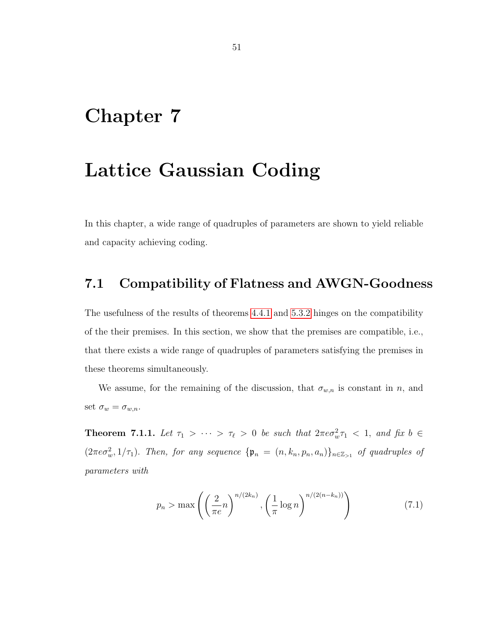### <span id="page-50-0"></span>Chapter 7

### Lattice Gaussian Coding

In this chapter, a wide range of quadruples of parameters are shown to yield reliable and capacity achieving coding.

#### <span id="page-50-1"></span>7.1 Compatibility of Flatness and AWGN-Goodness

The usefulness of the results of theorems [4.4.1](#page-39-1) and [5.3.2](#page-44-0) hinges on the compatibility of the their premises. In this section, we show that the premises are compatible, i.e., that there exists a wide range of quadruples of parameters satisfying the premises in these theorems simultaneously.

We assume, for the remaining of the discussion, that  $\sigma_{w,n}$  is constant in n, and set  $\sigma_w = \sigma_{w,n}$ .

<span id="page-50-2"></span>**Theorem 7.1.1.** Let  $\tau_1 > \cdots > \tau_\ell > 0$  be such that  $2\pi e \sigma_w^2 \tau_1 < 1$ , and fix  $b \in$  $(2\pi e\sigma_w^2, 1/\tau_1)$ . Then, for any sequence  ${\{\mathfrak{p}_n = (n, k_n, p_n, a_n)\}}_{n \in \mathbb{Z}_{>1}}$  of quadruples of parameters with

<span id="page-50-3"></span>
$$
p_n > \max\left(\left(\frac{2}{\pi e}n\right)^{n/(2k_n)}, \left(\frac{1}{\pi}\log n\right)^{n/(2(n-k_n))}\right)
$$
\n(7.1)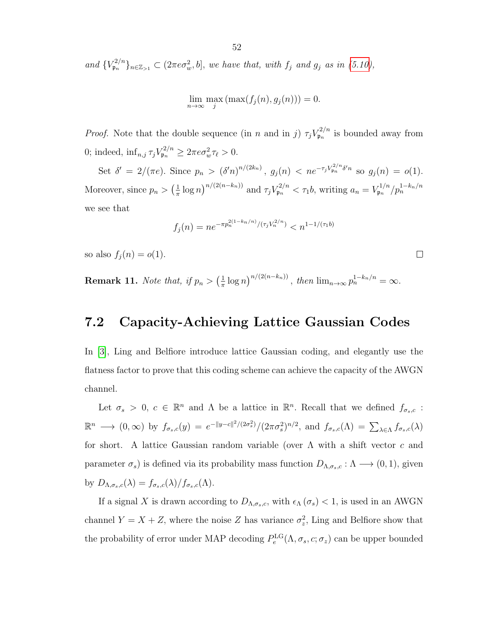and  $\{V_{\mathfrak{p}_n}^{2/n}\}_{n\in\mathbb{Z}_{>1}} \subset (2\pi e \sigma_w^2, b],$  we have that, with  $f_j$  and  $g_j$  as in [\(5.10\)](#page-44-1),

$$
\lim_{n \to \infty} \max_j \left( \max(f_j(n), g_j(n)) \right) = 0.
$$

*Proof.* Note that the double sequence (in n and in j)  $\tau_j V_{\mathfrak{p}_n}^{2/n}$  $\sum_{p_n}^{\infty}$  is bounded away from 0; indeed,  $\inf_{n,j} \tau_j V_{\mathfrak{p}_n}^{2/n} \geq 2\pi e \sigma_w^2 \tau_\ell > 0.$ 

Set  $\delta' = 2/(\pi e)$ . Since  $p_n > (\delta' n)^{n/(2k_n)}$ ,  $g_j(n) < ne^{-\tau_j V_{pn}^{2/n} \delta' n}$  so  $g_j(n) = o(1)$ . Moreover, since  $p_n > \left(\frac{1}{\pi}\right)$  $\frac{1}{\pi} \log n \big)^{n/(2(n-k_n))}$  and  $\tau_j V_{\mathfrak{p}_n}^{2/n} < \tau_1 b$ , writing  $a_n = V_{\mathfrak{p}_n}^{1/n}$  $\mathfrak{p}_n^{1/n}/p_n^{1-k_n/n}$ we see that

$$
f_j(n) = n e^{-\pi p_n^{2(1-k_n/n)}/(\tau_j V_n^{2/n})} < n^{1-1/(\tau_1 b)}
$$

 $\Box$ 

so also  $f_j(n) = o(1)$ .

**Remark 11.** Note that, if  $p_n > \left(\frac{1}{\pi}\right)$  $\frac{1}{\pi} \log n \big)^{n/(2(n-k_n))}$ , then  $\lim_{n \to \infty} p_n^{1-k_n/n} = \infty$ .

#### <span id="page-51-0"></span>7.2 Capacity-Achieving Lattice Gaussian Codes

In [\[3\]](#page-55-1), Ling and Belfiore introduce lattice Gaussian coding, and elegantly use the flatness factor to prove that this coding scheme can achieve the capacity of the AWGN channel.

Let  $\sigma_s > 0$ ,  $c \in \mathbb{R}^n$  and  $\Lambda$  be a lattice in  $\mathbb{R}^n$ . Recall that we defined  $f_{\sigma_s,c}$ :  $\mathbb{R}^n \longrightarrow (0,\infty)$  by  $f_{\sigma_s,c}(y) = e^{-\|y-c\|^2/(2\sigma_s^2)} / (2\pi\sigma_s^2)^{n/2}$ , and  $f_{\sigma_s,c}(\Lambda) = \sum_{\lambda \in \Lambda} f_{\sigma_s,c}(\lambda)$ for short. A lattice Gaussian random variable (over  $\Lambda$  with a shift vector c and parameter  $\sigma_s$ ) is defined via its probability mass function  $D_{\Lambda,\sigma_s,c} : \Lambda \longrightarrow (0,1)$ , given by  $D_{\Lambda,\sigma_s,c}(\lambda) = f_{\sigma_s,c}(\lambda) / f_{\sigma_s,c}(\Lambda)$ .

If a signal X is drawn according to  $D_{\Lambda,\sigma_s,c}$ , with  $\epsilon_\Lambda(\sigma_s) < 1$ , is used in an AWGN channel  $Y = X + Z$ , where the noise Z has variance  $\sigma_z^2$ . Ling and Belfiore show that the probability of error under MAP decoding  $P_e^{\text{LG}}(\Lambda, \sigma_s, c; \sigma_z)$  can be upper bounded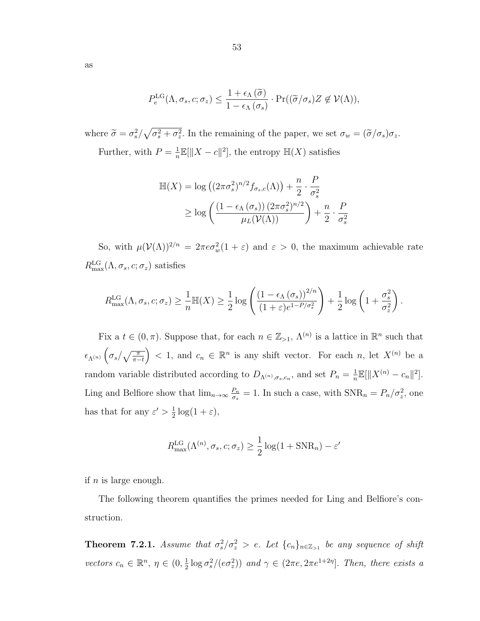$$
P_e^{\text{LG}}(\Lambda, \sigma_s, c; \sigma_z) \leq \frac{1 + \epsilon_{\Lambda}(\widetilde{\sigma})}{1 - \epsilon_{\Lambda}(\sigma_s)} \cdot \Pr((\widetilde{\sigma}/\sigma_s)Z \notin \mathcal{V}(\Lambda)),
$$

where  $\tilde{\sigma} = \sigma_s^2 / \sqrt{\sigma_s^2 + \sigma_z^2}$ . In the remaining of the paper, we set  $\sigma_w = (\tilde{\sigma}/\sigma_s)\sigma_z$ . Further, with  $P=\frac{1}{n}$  $\frac{1}{n}\mathbb{E}[\|X-c\|^2]$ , the entropy  $\mathbb{H}(X)$  satisfies

$$
\mathbb{H}(X) = \log \left( (2\pi\sigma_s^2)^{n/2} f_{\sigma_s,c}(\Lambda) \right) + \frac{n}{2} \cdot \frac{P}{\sigma_s^2}
$$
  
\n
$$
\geq \log \left( \frac{\left(1 - \epsilon_\Lambda(\sigma_s)\right) (2\pi\sigma_s^2)^{n/2}}{\mu_L(\mathcal{V}(\Lambda))} \right) + \frac{n}{2} \cdot \frac{P}{\sigma_s^2}
$$

So, with  $\mu(\mathcal{V}(\Lambda))^{2/n} = 2\pi e \sigma_w^2(1+\varepsilon)$  and  $\varepsilon > 0$ , the maximum achievable rate  $R_{\text{max}}^{\text{LG}}(\Lambda, \sigma_s, c; \sigma_z)$  satisfies

$$
R_{\max}^{\text{LG}}(\Lambda, \sigma_s, c; \sigma_z) \ge \frac{1}{n} \mathbb{H}(X) \ge \frac{1}{2} \log \left( \frac{\left(1 - \epsilon_{\Lambda} \left(\sigma_s\right)\right)^{2/n}}{\left(1 + \varepsilon\right) e^{1 - P/\sigma_s^2}} \right) + \frac{1}{2} \log \left(1 + \frac{\sigma_s^2}{\sigma_z^2}\right).
$$

Fix a  $t \in (0, \pi)$ . Suppose that, for each  $n \in \mathbb{Z}_{>1}$ ,  $\Lambda^{(n)}$  is a lattice in  $\mathbb{R}^n$  such that  $\epsilon_{\Lambda^{(n)}}\left(\sigma_s/\sqrt{\frac{\pi}{\pi-t}}\right)$  < 1, and  $c_n \in \mathbb{R}^n$  is any shift vector. For each n, let  $X^{(n)}$  be a random variable distributed according to  $D_{\Lambda^{(n)},\sigma_s,c_n}$ , and set  $P_n = \frac{1}{n}$  $\frac{1}{n} \mathbb{E}[\|X^{(n)} - c_n\|^2].$ Ling and Belfiore show that  $\lim_{n\to\infty}\frac{P_n}{\sigma_s}$  $\frac{P_n}{\sigma_s} = 1$ . In such a case, with  $\text{SNR}_n = P_n / \sigma_z^2$ , one has that for any  $\varepsilon' > \frac{1}{2}$  $\frac{1}{2}\log(1+\varepsilon),$ 

$$
R_{\max}^{\text{LG}}(\Lambda^{(n)}, \sigma_s, c; \sigma_z) \ge \frac{1}{2}\log(1 + \text{SNR}_n) - \varepsilon'
$$

if  $n$  is large enough.

The following theorem quantifies the primes needed for Ling and Belfiore's construction.

**Theorem 7.2.1.** Assume that  $\sigma_s^2/\sigma_z^2 > e$ . Let  $\{c_n\}_{n\in\mathbb{Z}_{>1}}$  be any sequence of shift vectors  $c_n \in \mathbb{R}^n$ ,  $\eta \in (0, \frac{1}{2})$  $\frac{1}{2} \log \sigma_s^2 / (e \sigma_z^2)$ ) and  $\gamma \in (2\pi e, 2\pi e^{1+2\eta})$ . Then, there exists a

as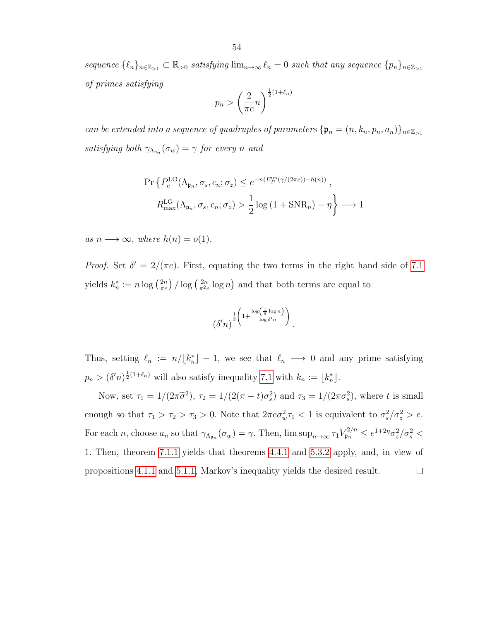sequence  $\{\ell_n\}_{n\in\mathbb{Z}_{>1}} \subset \mathbb{R}_{>0}$  satisfying  $\lim_{n\to\infty} \ell_n = 0$  such that any sequence  $\{p_n\}_{n\in\mathbb{Z}_{>1}}$ of primes satisfying

$$
p_n > \left(\frac{2}{\pi e}n\right)^{\frac{1}{2}(1+\ell_n)}
$$

can be extended into a sequence of quadruples of parameters  ${\mathfrak{p}}_n = (n, k_n, p_n, a_n)$ <sub> $n \in \mathbb{Z}_{\geq 1}$ </sub> satisfying both  $\gamma_{\Lambda_{\mathfrak{p}_n}}(\sigma_w) = \gamma$  for every n and

$$
\Pr\left\{P_e^{\text{LG}}(\Lambda_{\mathfrak{p}_n}, \sigma_s, c_n; \sigma_z) \le e^{-n(E_P^{\text{un}}(\gamma/(2\pi e)) + h(n))},\right\}
$$
\n
$$
R_{\text{max}}^{\text{LG}}(\Lambda_{\mathfrak{p}_n}, \sigma_s, c_n; \sigma_z) > \frac{1}{2}\log\left(1 + \text{SNR}_n\right) - \eta\right\} \longrightarrow 1
$$

as  $n \longrightarrow \infty$ , where  $h(n) = o(1)$ .

*Proof.* Set  $\delta' = 2/(\pi e)$ . First, equating the two terms in the right hand side of [7.1](#page-50-3) yields  $k_n^* := n \log \left(\frac{2n}{\pi e}\right) / \log \left(\frac{2n}{\pi^2 e}\right)$  $\frac{2n}{\pi^2 e} \log n$  and that both terms are equal to

$$
\left(\delta' n\right)^{\frac{1}{2}\left(1+\frac{\log\left(\frac{1}{\pi}\log n\right)}{\log\delta'n}\right)}.
$$

Thus, setting  $\ell_n := n/[k_n^*] - 1$ , we see that  $\ell_n \longrightarrow 0$  and any prime satisfying  $p_n > (\delta' n)^{\frac{1}{2}(1+\ell_n)}$  will also satisfy inequality [7.1](#page-50-3) with  $k_n := \lfloor k_n^* \rfloor$ .

Now, set  $\tau_1 = 1/(2\pi\tilde{\sigma}^2)$ ,  $\tau_2 = 1/(2(\pi - t)\sigma_s^2)$  and  $\tau_3 = 1/(2\pi\sigma_s^2)$ , where t is small enough so that  $\tau_1 > \tau_2 > \tau_3 > 0$ . Note that  $2\pi e \sigma_w^2 \tau_1 < 1$  is equivalent to  $\sigma_s^2/\sigma_z^2 > e$ . For each *n*, choose  $a_n$  so that  $\gamma_{\Lambda_{\mathfrak{p}_n}}(\sigma_w) = \gamma$ . Then,  $\limsup_{n \to \infty} \tau_1 V_{\mathfrak{p}_n}^{2/n} \leq e^{1+2\eta} \sigma_z^2 / \sigma_s^2$ 1. Then, theorem [7.1.1](#page-50-2) yields that theorems [4.4.1](#page-39-1) and [5.3.2](#page-44-0) apply, and, in view of propositions [4.1.1](#page-33-1) and [5.1.1,](#page-42-1) Markov's inequality yields the desired result. $\Box$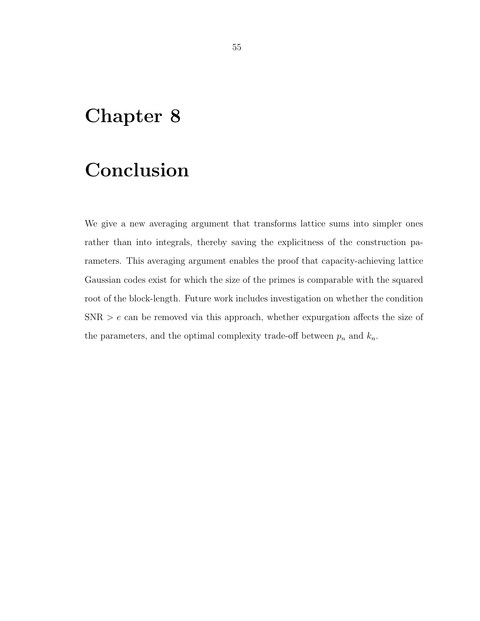### <span id="page-54-0"></span>Chapter 8

## Conclusion

We give a new averaging argument that transforms lattice sums into simpler ones rather than into integrals, thereby saving the explicitness of the construction parameters. This averaging argument enables the proof that capacity-achieving lattice Gaussian codes exist for which the size of the primes is comparable with the squared root of the block-length. Future work includes investigation on whether the condition  $SNR > e$  can be removed via this approach, whether expurgation affects the size of the parameters, and the optimal complexity trade-off between  $p_n$  and  $k_n$ .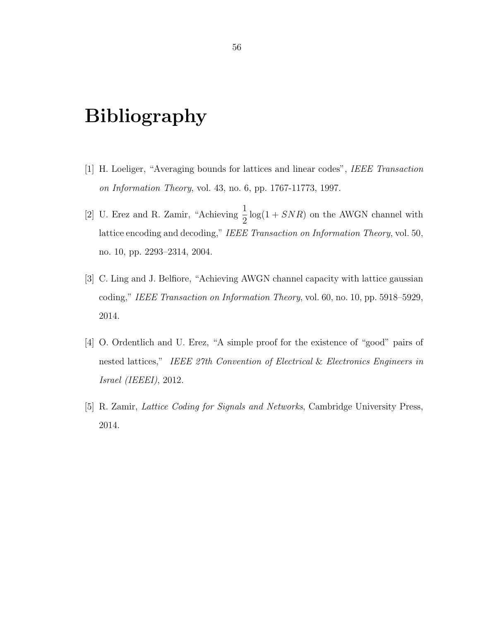### <span id="page-55-2"></span>Bibliography

- <span id="page-55-0"></span>[1] H. Loeliger, "Averaging bounds for lattices and linear codes", IEEE Transaction on Information Theory, vol. 43, no. 6, pp. 1767-11773, 1997.
- <span id="page-55-3"></span>[2] U. Erez and R. Zamir, "Achieving  $\frac{1}{2}$ 2  $log(1 + SNR)$  on the AWGN channel with lattice encoding and decoding," IEEE Transaction on Information Theory, vol. 50, no. 10, pp. 2293–2314, 2004.
- <span id="page-55-1"></span>[3] C. Ling and J. Belfiore, "Achieving AWGN channel capacity with lattice gaussian coding," IEEE Transaction on Information Theory, vol. 60, no. 10, pp. 5918–5929, 2014.
- <span id="page-55-4"></span>[4] O. Ordentlich and U. Erez, "A simple proof for the existence of "good" pairs of nested lattices," IEEE 27th Convention of Electrical & Electronics Engineers in Israel (IEEEI), 2012.
- <span id="page-55-5"></span>[5] R. Zamir, Lattice Coding for Signals and Networks, Cambridge University Press, 2014.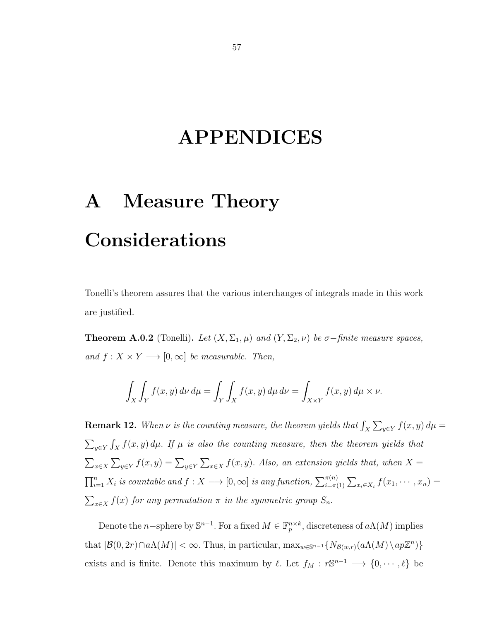### APPENDICES

# <span id="page-56-0"></span>A Measure Theory Considerations

Tonelli's theorem assures that the various interchanges of integrals made in this work are justified.

**Theorem A.0.2** (Tonelli). Let  $(X, \Sigma_1, \mu)$  and  $(Y, \Sigma_2, \nu)$  be  $\sigma$ -finite measure spaces, and  $f: X \times Y \longrightarrow [0, \infty]$  be measurable. Then,

$$
\int_X \int_Y f(x, y) \, d\nu \, d\mu = \int_Y \int_X f(x, y) \, d\mu \, d\nu = \int_{X \times Y} f(x, y) \, d\mu \times \nu.
$$

**Remark 12.** When  $\nu$  is the counting measure, the theorem yields that  $\int_X \sum_{y \in Y} f(x, y) d\mu =$  $\sum_{y \in Y} \int_X f(x, y) d\mu$ . If  $\mu$  is also the counting measure, then the theorem yields that  $\sum_{x\in X}\sum_{y\in Y}f(x,y)=\sum_{y\in Y}\sum_{x\in X}f(x,y)$ . Also, an extension yields that, when X =  $\prod_{i=1}^n X_i$  is countable and  $f: X \longrightarrow [0, \infty]$  is any function,  $\sum_{i=\pi(1)}^{\pi(n)} \sum_{x_i \in X_i} f(x_1, \dots, x_n) =$  $\sum_{x \in X} f(x)$  for any permutation  $\pi$  in the symmetric group  $S_n$ .

Denote the n-sphere by  $\mathbb{S}^{n-1}$ . For a fixed  $M \in \mathbb{F}_p^{n \times k}$ , discreteness of  $a\Lambda(M)$  implies that  $|\mathcal{B}(0, 2r) \cap a\Lambda(M)| < \infty$ . Thus, in particular,  $\max_{w \in \mathbb{S}^{n-1}} \{N_{\mathcal{B}(w,r)}(a\Lambda(M) \setminus ap\mathbb{Z}^n)\}\$ exists and is finite. Denote this maximum by  $\ell$ . Let  $f_M : r\mathbb{S}^{n-1} \longrightarrow \{0, \dots, \ell\}$  be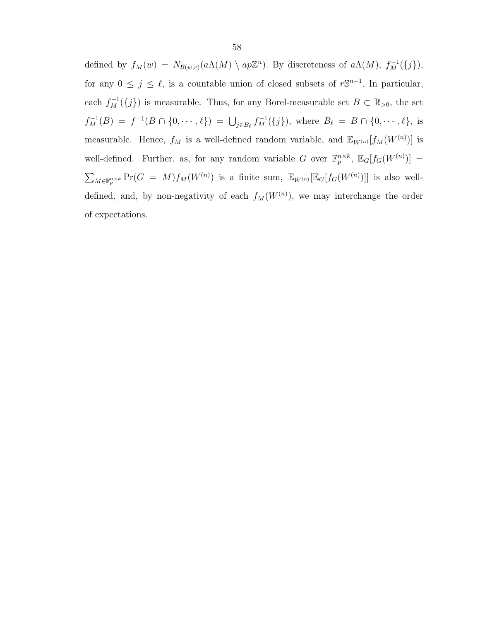defined by  $f_M(w) = N_{\mathcal{B}(w,r)}(a\Lambda(M) \setminus ap\mathbb{Z}^n)$ . By discreteness of  $a\Lambda(M)$ ,  $f_M^{-1}(\{j\})$ , for any  $0 \leq j \leq \ell$ , is a countable union of closed subsets of  $r\mathbb{S}^{n-1}$ . In particular, each  $f_M^{-1}(\{j\})$  is measurable. Thus, for any Borel-measurable set  $B \subset \mathbb{R}_{>0}$ , the set  $f_M^{-1}(B) = f^{-1}(B \cap \{0, \dots, \ell\}) = \bigcup_{j \in B_\ell} f_M^{-1}(\{j\}),$  where  $B_\ell = B \cap \{0, \dots, \ell\},$  is measurable. Hence,  $f_M$  is a well-defined random variable, and  $\mathbb{E}_{W^{(n)}}[f_M(W^{(n)})]$  is well-defined. Further, as, for any random variable G over  $\mathbb{F}_p^{n\times k}$ ,  $\mathbb{E}_G[f_G(W^{(n)})]=$  $\sum_{M\in\mathbb{F}_p^{n\times k}}\Pr(G = M)f_M(W^{(n)})$  is a finite sum,  $\mathbb{E}_{W^{(n)}}[\mathbb{E}_{G}[f_G(W^{(n)})]]$  is also welldefined, and, by non-negativity of each  $f_M(W^{(n)})$ , we may interchange the order of expectations.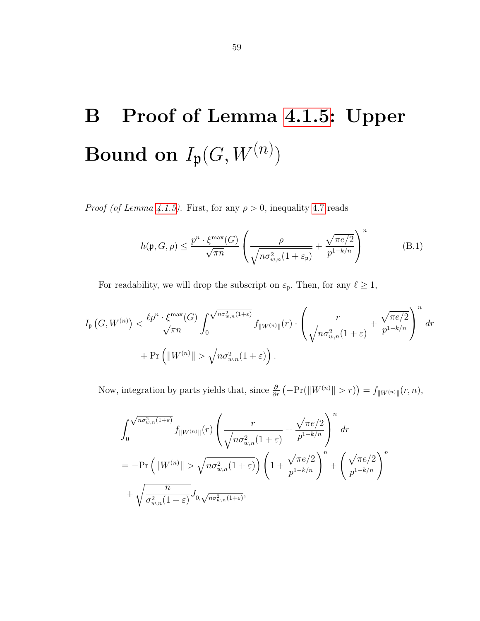# <span id="page-58-0"></span>B Proof of Lemma [4.1.5:](#page-37-1) Upper Bound on  $I_{\mathfrak{p}}(G, W^{(n)})$

*Proof (of Lemma [4.1.5\)](#page-37-1).* First, for any  $\rho > 0$ , inequality [4.7](#page-36-3) reads

$$
h(\mathfrak{p}, G, \rho) \le \frac{p^n \cdot \xi^{\max}(G)}{\sqrt{\pi n}} \left( \frac{\rho}{\sqrt{n \sigma_{w,n}^2 (1 + \varepsilon_{\mathfrak{p}})}} + \frac{\sqrt{\pi e/2}}{p^{1 - k/n}} \right)^n \tag{B.1}
$$

For readability, we will drop the subscript on  $\varepsilon_{\mathfrak{p}}$ . Then, for any  $\ell \geq 1$ ,

$$
I_{\mathfrak{p}}(G, W^{(n)}) < \frac{\ell p^n \cdot \xi^{\max}(G)}{\sqrt{\pi n}} \int_0^{\sqrt{n \sigma_{w,n}^2(1+\varepsilon)}} f_{\|W^{(n)}\|}(r) \cdot \left(\frac{r}{\sqrt{n \sigma_{w,n}^2(1+\varepsilon)}} + \frac{\sqrt{\pi e/2}}{p^{1-k/n}}\right)^n dr
$$
  
+ 
$$
\Pr\left(\|W^{(n)}\| > \sqrt{n \sigma_{w,n}^2(1+\varepsilon)}\right).
$$

Now, integration by parts yields that, since  $\frac{\partial}{\partial r}(-\Pr(||W^{(n)}|| > r)) = f_{\Vert W^{(n)} \Vert}(r, n),$ 

$$
\int_{0}^{\sqrt{n\sigma_{w,n}^{2}(1+\varepsilon)}} f_{\|W^{(n)}\|}(r) \left(\frac{r}{\sqrt{n\sigma_{w,n}^{2}(1+\varepsilon)}} + \frac{\sqrt{\pi e/2}}{p^{1-k/n}}\right)^{n} dr
$$
\n
$$
= -\Pr\left(\|W^{(n)}\| > \sqrt{n\sigma_{w,n}^{2}(1+\varepsilon)}\right) \left(1 + \frac{\sqrt{\pi e/2}}{p^{1-k/n}}\right)^{n} + \left(\frac{\sqrt{\pi e/2}}{p^{1-k/n}}\right)^{n}
$$
\n
$$
+ \sqrt{\frac{n}{\sigma_{w,n}^{2}(1+\varepsilon)}} J_{0,\sqrt{n\sigma_{w,n}^{2}(1+\varepsilon)}},
$$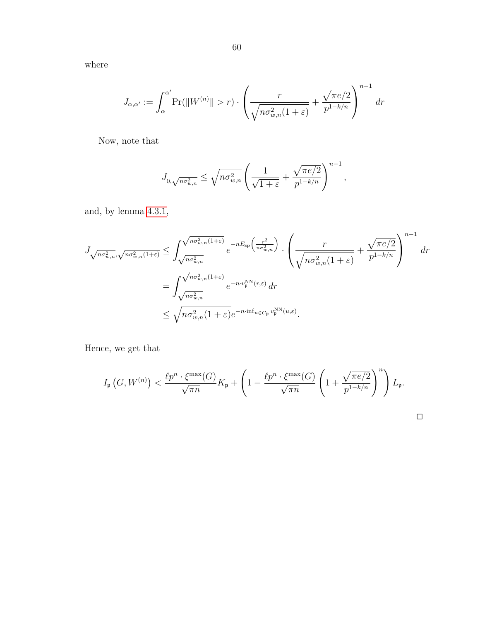where

$$
J_{\alpha,\alpha'} := \int_{\alpha}^{\alpha'} \Pr(||W^{(n)}|| > r) \cdot \left(\frac{r}{\sqrt{n\sigma_{w,n}^2(1+\varepsilon)}} + \frac{\sqrt{\pi e/2}}{p^{1-k/n}}\right)^{n-1} dr
$$

Now, note that

$$
J_{0,\sqrt{n\sigma_{w,n}^2}} \leq \sqrt{n\sigma_{w,n}^2} \left( \frac{1}{\sqrt{1+\varepsilon}} + \frac{\sqrt{\pi e/2}}{p^{1-k/n}} \right)^{n-1},
$$

and, by lemma [4.3.1,](#page-38-1)

$$
J_{\sqrt{n\sigma_{w,n}^2, \sqrt{n\sigma_{w,n}^2(1+\varepsilon)}}} \leq \int_{\sqrt{n\sigma_{w,n}^2}}^{\sqrt{n\sigma_{w,n}^2(1+\varepsilon)}} e^{-nE_{\text{sp}}\left(\frac{r^2}{n\sigma_{w,n}^2}\right)} \cdot \left(\frac{r}{\sqrt{n\sigma_{w,n}^2(1+\varepsilon)}} + \frac{\sqrt{\pi e/2}}{p^{1-k/n}}\right)^{n-1} dr
$$
  

$$
= \int_{\sqrt{n\sigma_{w,n}^2}}^{\sqrt{n\sigma_{w,n}^2(1+\varepsilon)}} e^{-n \cdot v_{\text{p}}^{\text{NN}}(r,\varepsilon)} dr
$$
  

$$
\leq \sqrt{n\sigma_{w,n}^2(1+\varepsilon)} e^{-n \cdot \inf_{u \in C_{\text{p}}} v_{\text{p}}^{\text{NN}}(u,\varepsilon)}.
$$

Hence, we get that

$$
I_{\mathfrak{p}}\left(G, W^{(n)}\right) < \frac{\ell p^n \cdot \xi^{\max}(G)}{\sqrt{\pi n}} K_{\mathfrak{p}} + \left(1 - \frac{\ell p^n \cdot \xi^{\max}(G)}{\sqrt{\pi n}} \left(1 + \frac{\sqrt{\pi e/2}}{p^{1-k/n}}\right)^n\right) L_{\mathfrak{p}}.
$$

| ___ |  |
|-----|--|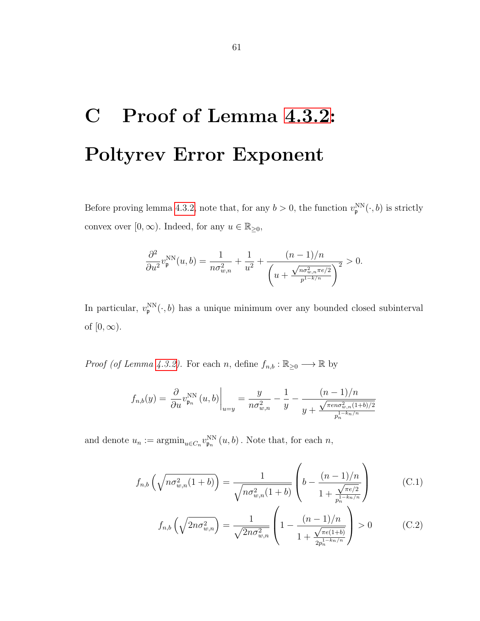# <span id="page-60-0"></span>C Proof of Lemma [4.3.2:](#page-39-2) Poltyrev Error Exponent

Before proving lemma [4.3.2,](#page-39-2) note that, for any  $b > 0$ , the function  $v_{\mathfrak{p}}^{NN}(\cdot, b)$  is strictly convex over  $[0, \infty)$ . Indeed, for any  $u \in \mathbb{R}_{\geq 0}$ ,

$$
\frac{\partial^2}{\partial u^2} v_{\mathfrak{p}}^{\text{NN}}(u, b) = \frac{1}{n \sigma_{w,n}^2} + \frac{1}{u^2} + \frac{(n-1)/n}{\left(u + \frac{\sqrt{n \sigma_{w,n}^2 n e/2}}{p^{1-k/n}}\right)^2} > 0.
$$

In particular,  $v_{\mathfrak{p}}^{NN}(\cdot, b)$  has a unique minimum over any bounded closed subinterval of  $[0, \infty)$ .

*Proof (of Lemma [4.3.2\)](#page-39-2).* For each *n*, define  $f_{n,b} : \mathbb{R}_{\geq 0} \longrightarrow \mathbb{R}$  by

$$
f_{n,b}(y) = \frac{\partial}{\partial u} v_{\mathfrak{p}_n}^{\text{NN}}(u,b) \bigg|_{u=y} = \frac{y}{n\sigma_{w,n}^2} - \frac{1}{y} - \frac{(n-1)/n}{y + \frac{\sqrt{\pi e n \sigma_{w,n}^2 (1+b)/2}}{p_n^{1-k_n/n}}}
$$

and denote  $u_n := \operatorname{argmin}_{u \in C_n} v_{\mathfrak{p}_n}^{\text{NN}}(u, b)$ . Note that, for each  $n$ ,

$$
f_{n,b}\left(\sqrt{n\sigma_{w,n}^2(1+b)}\right) = \frac{1}{\sqrt{n\sigma_{w,n}^2(1+b)}} \left(b - \frac{(n-1)/n}{1 + \frac{\sqrt{\pi e/2}}{p_n^{1-k_n/n}}}\right) \tag{C.1}
$$

<span id="page-60-2"></span><span id="page-60-1"></span>
$$
f_{n,b}\left(\sqrt{2n\sigma_{w,n}^2}\right) = \frac{1}{\sqrt{2n\sigma_{w,n}^2}} \left(1 - \frac{(n-1)/n}{1 + \frac{\sqrt{\pi e(1+b)}}{2p_n^{1-k_n/n}}}\right) > 0
$$
 (C.2)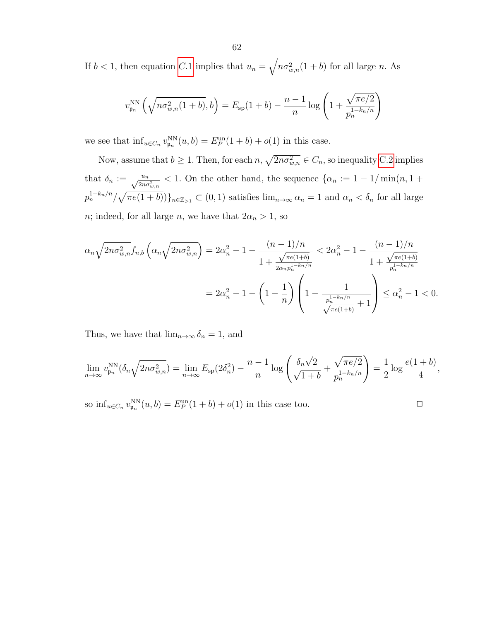If  $b < 1$ , then equation [C.](#page-60-1)1 implies that  $u_n = \sqrt{n \sigma_{w,n}^2(1+b)}$  for all large n. As

$$
v_{\mathfrak{p}_n}^{\text{NN}}\left(\sqrt{n\sigma_{w,n}^2(1+b)},b\right) = E_{\text{sp}}(1+b) - \frac{n-1}{n}\log\left(1+\frac{\sqrt{\pi e/2}}{p_n^{1-k_n/n}}\right)
$$

we see that  $\inf_{u \in C_n} v_{\mathfrak{p}_n}^{NN}(u, b) = E_P^{\text{un}}(1+b) + o(1)$  in this case.

Now, assume that  $b \geq 1$ . Then, for each  $n, \sqrt{2n\sigma_{w,n}^2} \in C_n$ , so inequality [C.2](#page-60-2) implies that  $\delta_n := \frac{u_n}{\sqrt{2n\sigma_{w,n}^2}} < 1$ . On the other hand, the sequence  $\{\alpha_n := 1 - 1/\min(n, 1 + \alpha_n)\}$  $p_n^{1-k_n/n}/\sqrt{\pi e(1+b)})\}_{n\in\mathbb{Z}_{\geq 1}} \subset (0,1)$  satisfies  $\lim_{n\to\infty} \alpha_n = 1$  and  $\alpha_n < \delta_n$  for all large n; indeed, for all large n, we have that  $2\alpha_n > 1$ , so

$$
\alpha_n \sqrt{2n\sigma_{w,n}^2} f_{n,b} \left( \alpha_n \sqrt{2n\sigma_{w,n}^2} \right) = 2\alpha_n^2 - 1 - \frac{(n-1)/n}{1 + \frac{\sqrt{\pi e(1+b)}}{2\alpha_n p_n^{1-k_n/n}}} < 2\alpha_n^2 - 1 - \frac{(n-1)/n}{1 + \frac{\sqrt{\pi e(1+b)}}{p_n^{1-k_n/n}}}
$$

$$
= 2\alpha_n^2 - 1 - \left(1 - \frac{1}{n}\right) \left(1 - \frac{1}{\frac{p_n^{1-k_n/n}}{\sqrt{\pi e(1+b)}} + 1}\right) \le \alpha_n^2 - 1 < 0.
$$

Thus, we have that  $\lim_{n\to\infty} \delta_n = 1$ , and

$$
\lim_{n \to \infty} v_{\mathfrak{p}_n}^{\text{NN}}(\delta_n \sqrt{2n\sigma_{w,n}^2}) = \lim_{n \to \infty} E_{\text{sp}}(2\delta_n^2) - \frac{n-1}{n} \log \left( \frac{\delta_n \sqrt{2}}{\sqrt{1+b}} + \frac{\sqrt{\pi e/2}}{p_n^{1-k_n/n}} \right) = \frac{1}{2} \log \frac{e(1+b)}{4},
$$

so  $\inf_{u \in C_n} v_{\mathfrak{p}_n}^{\text{NN}}(u, b) = E_P^{\text{un}}(1 + b) + o(1)$  in this case too.